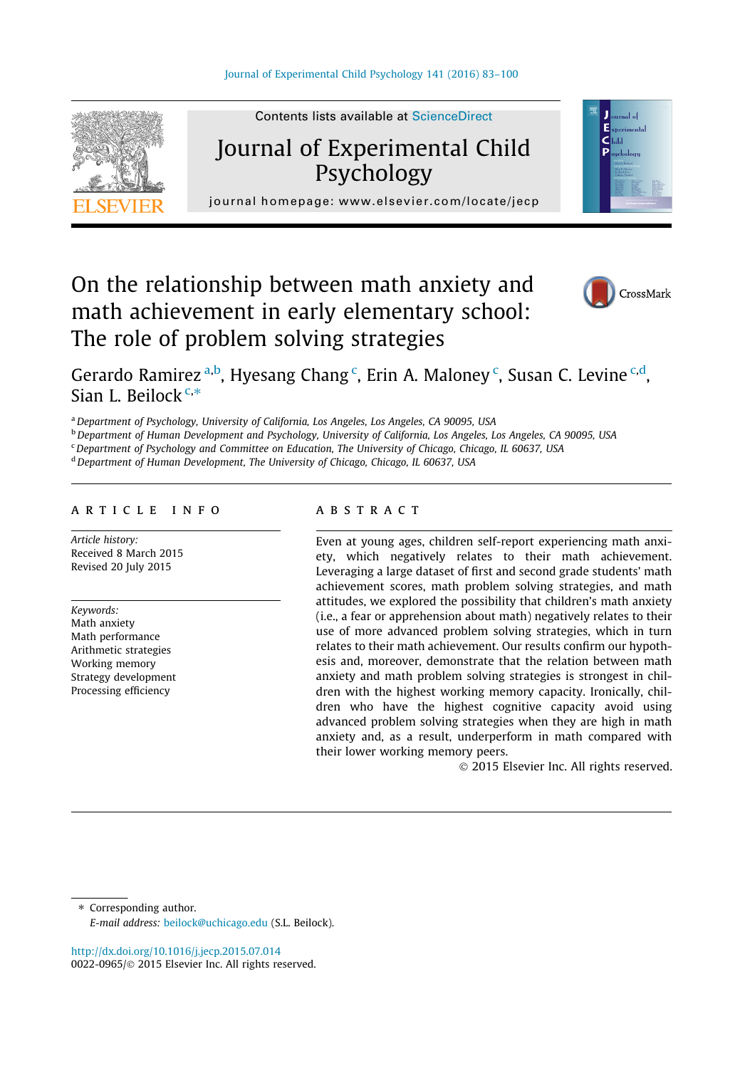

Contents lists available at [ScienceDirect](http://www.sciencedirect.com/science/journal/00220965)

# Journal of Experimental Child Psychology

journal homepage: [www.elsevier.com/locate/jecp](http://www.elsevier.com/locate/jecp)

# On the relationship between math anxiety and math achievement in early elementary school: The role of problem solving strategies



аú

Gerardo Ramirez <sup>a,b</sup>, Hyesang Chang <sup>c</sup>, Erin A. Maloney <sup>c</sup>, Susan C. Levine <sup>c,d</sup>, Sian L. Beilock  $C$ <sup>\*</sup>

a Department of Psychology, University of California, Los Angeles, Los Angeles, CA 90095, USA

**b** Department of Human Development and Psychology, University of California, Los Angeles, Los Angeles, CA 90095, USA

 $c$  Department of Psychology and Committee on Education, The University of Chicago, Chicago, IL 60637, USA

<sup>d</sup> Department of Human Development, The University of Chicago, Chicago, IL 60637, USA

## article info

Article history: Received 8 March 2015 Revised 20 July 2015

Keywords: Math anxiety Math performance Arithmetic strategies Working memory Strategy development Processing efficiency

# A B S T R A C T

Even at young ages, children self-report experiencing math anxiety, which negatively relates to their math achievement. Leveraging a large dataset of first and second grade students' math achievement scores, math problem solving strategies, and math attitudes, we explored the possibility that children's math anxiety (i.e., a fear or apprehension about math) negatively relates to their use of more advanced problem solving strategies, which in turn relates to their math achievement. Our results confirm our hypothesis and, moreover, demonstrate that the relation between math anxiety and math problem solving strategies is strongest in children with the highest working memory capacity. Ironically, children who have the highest cognitive capacity avoid using advanced problem solving strategies when they are high in math anxiety and, as a result, underperform in math compared with their lower working memory peers.

- 2015 Elsevier Inc. All rights reserved.

⇑ Corresponding author.

E-mail address: [beilock@uchicago.edu](mailto:beilock@uchicago.edu) (S.L. Beilock).

<http://dx.doi.org/10.1016/j.jecp.2015.07.014> 0022-0965/© 2015 Elsevier Inc. All rights reserved.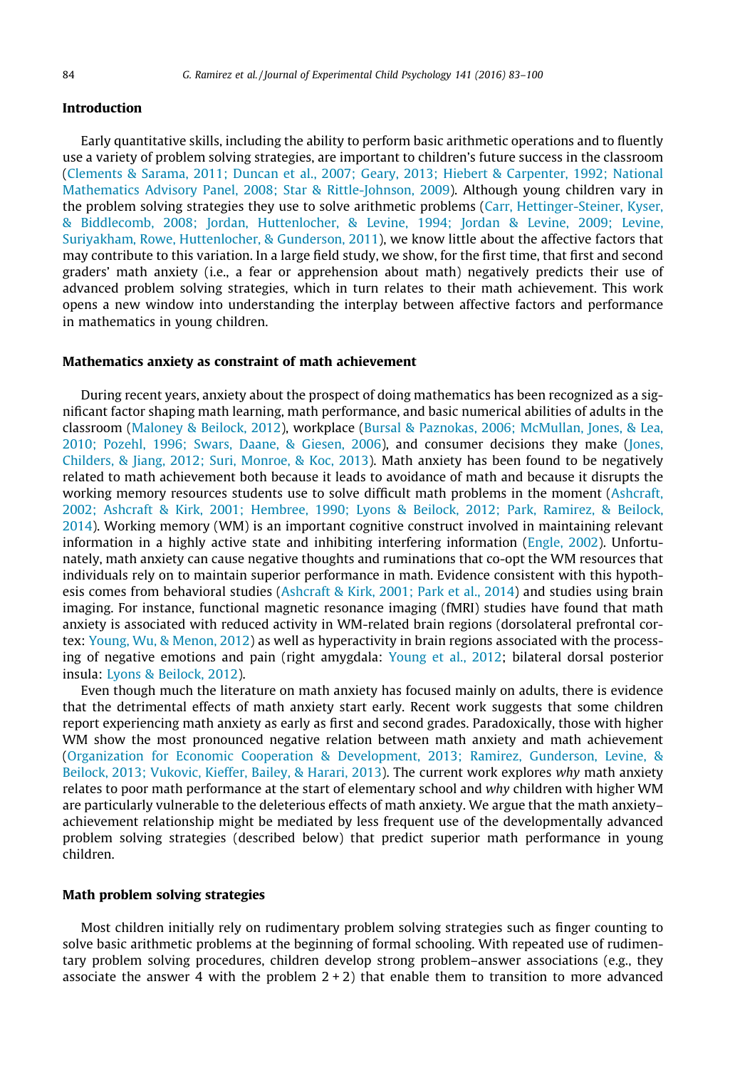## Introduction

Early quantitative skills, including the ability to perform basic arithmetic operations and to fluently use a variety of problem solving strategies, are important to children's future success in the classroom ([Clements & Sarama, 2011; Duncan et al., 2007; Geary, 2013; Hiebert & Carpenter, 1992; National](#page-15-0) [Mathematics Advisory Panel, 2008; Star & Rittle-Johnson, 2009](#page-15-0)). Although young children vary in the problem solving strategies they use to solve arithmetic problems ([Carr, Hettinger-Steiner, Kyser,](#page-15-0) [& Biddlecomb, 2008; Jordan, Huttenlocher, & Levine, 1994; Jordan & Levine, 2009; Levine,](#page-15-0) [Suriyakham, Rowe, Huttenlocher, & Gunderson, 2011](#page-15-0)), we know little about the affective factors that may contribute to this variation. In a large field study, we show, for the first time, that first and second graders' math anxiety (i.e., a fear or apprehension about math) negatively predicts their use of advanced problem solving strategies, which in turn relates to their math achievement. This work opens a new window into understanding the interplay between affective factors and performance in mathematics in young children.

## Mathematics anxiety as constraint of math achievement

During recent years, anxiety about the prospect of doing mathematics has been recognized as a significant factor shaping math learning, math performance, and basic numerical abilities of adults in the classroom ([Maloney & Beilock, 2012\)](#page-16-0), workplace ([Bursal & Paznokas, 2006; McMullan, Jones, & Lea,](#page-14-0) [2010; Pozehl, 1996; Swars, Daane, & Giesen, 2006\)](#page-14-0), and consumer decisions they make ([Jones,](#page-15-0) [Childers, & Jiang, 2012; Suri, Monroe, & Koc, 2013\)](#page-15-0). Math anxiety has been found to be negatively related to math achievement both because it leads to avoidance of math and because it disrupts the working memory resources students use to solve difficult math problems in the moment [\(Ashcraft,](#page-14-0) [2002; Ashcraft & Kirk, 2001; Hembree, 1990; Lyons & Beilock, 2012; Park, Ramirez, & Beilock,](#page-14-0) [2014\)](#page-14-0). Working memory (WM) is an important cognitive construct involved in maintaining relevant information in a highly active state and inhibiting interfering information [\(Engle, 2002](#page-15-0)). Unfortunately, math anxiety can cause negative thoughts and ruminations that co-opt the WM resources that individuals rely on to maintain superior performance in math. Evidence consistent with this hypothesis comes from behavioral studies [\(Ashcraft & Kirk, 2001; Park et al., 2014\)](#page-14-0) and studies using brain imaging. For instance, functional magnetic resonance imaging (fMRI) studies have found that math anxiety is associated with reduced activity in WM-related brain regions (dorsolateral prefrontal cortex: [Young, Wu, & Menon, 2012](#page-17-0)) as well as hyperactivity in brain regions associated with the processing of negative emotions and pain (right amygdala: [Young et al., 2012;](#page-17-0) bilateral dorsal posterior insula: [Lyons & Beilock, 2012\)](#page-16-0).

Even though much the literature on math anxiety has focused mainly on adults, there is evidence that the detrimental effects of math anxiety start early. Recent work suggests that some children report experiencing math anxiety as early as first and second grades. Paradoxically, those with higher WM show the most pronounced negative relation between math anxiety and math achievement ([Organization for Economic Cooperation & Development, 2013; Ramirez, Gunderson, Levine, &](#page-16-0) [Beilock, 2013; Vukovic, Kieffer, Bailey, & Harari, 2013](#page-16-0)). The current work explores why math anxiety relates to poor math performance at the start of elementary school and why children with higher WM are particularly vulnerable to the deleterious effects of math anxiety. We argue that the math anxiety– achievement relationship might be mediated by less frequent use of the developmentally advanced problem solving strategies (described below) that predict superior math performance in young children.

## Math problem solving strategies

Most children initially rely on rudimentary problem solving strategies such as finger counting to solve basic arithmetic problems at the beginning of formal schooling. With repeated use of rudimentary problem solving procedures, children develop strong problem–answer associations (e.g., they associate the answer 4 with the problem  $2 + 2$ ) that enable them to transition to more advanced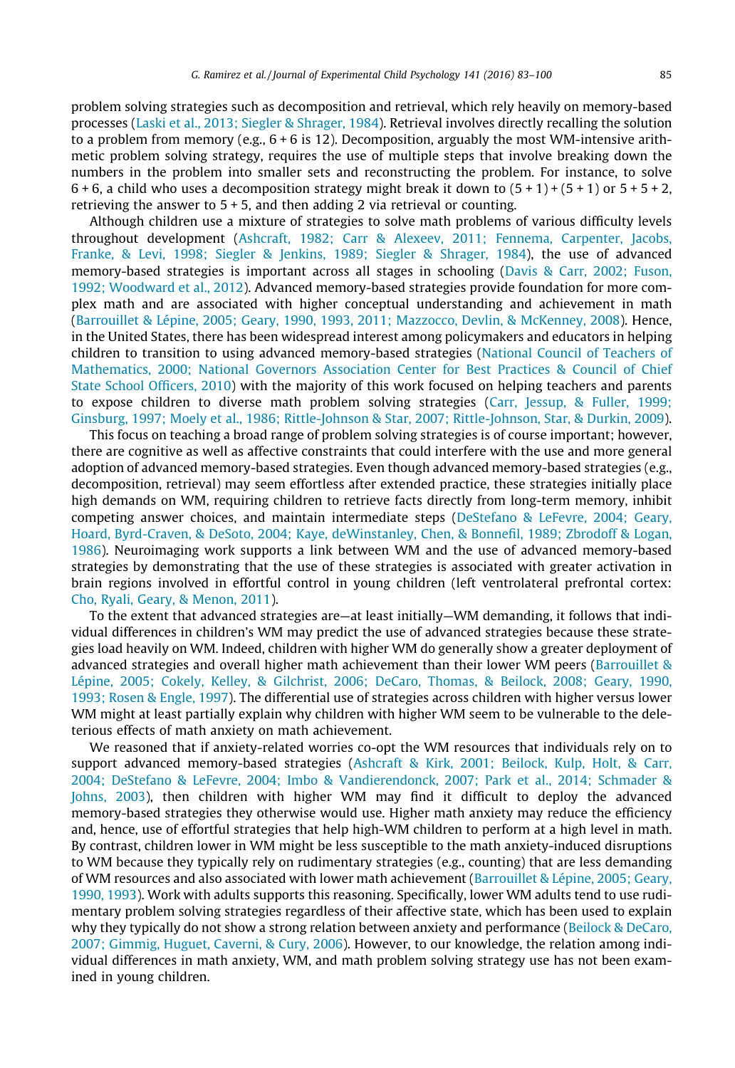problem solving strategies such as decomposition and retrieval, which rely heavily on memory-based processes ([Laski et al., 2013; Siegler & Shrager, 1984](#page-16-0)). Retrieval involves directly recalling the solution to a problem from memory (e.g.,  $6 + 6$  is 12). Decomposition, arguably the most WM-intensive arithmetic problem solving strategy, requires the use of multiple steps that involve breaking down the numbers in the problem into smaller sets and reconstructing the problem. For instance, to solve  $6 + 6$ , a child who uses a decomposition strategy might break it down to  $(5 + 1) + (5 + 1)$  or  $5 + 5 + 2$ . retrieving the answer to  $5 + 5$ , and then adding 2 via retrieval or counting.

Although children use a mixture of strategies to solve math problems of various difficulty levels throughout development ([Ashcraft, 1982; Carr & Alexeev, 2011; Fennema, Carpenter, Jacobs,](#page-14-0) [Franke, & Levi, 1998; Siegler & Jenkins, 1989; Siegler & Shrager, 1984](#page-14-0)), the use of advanced memory-based strategies is important across all stages in schooling ([Davis & Carr, 2002; Fuson,](#page-15-0) [1992; Woodward et al., 2012](#page-15-0)). Advanced memory-based strategies provide foundation for more complex math and are associated with higher conceptual understanding and achievement in math [\(Barrouillet & Lépine, 2005; Geary, 1990, 1993, 2011; Mazzocco, Devlin, & McKenney, 2008\)](#page-14-0). Hence, in the United States, there has been widespread interest among policymakers and educators in helping children to transition to using advanced memory-based strategies ([National Council of Teachers of](#page-16-0) [Mathematics, 2000; National Governors Association Center for Best Practices & Council of Chief](#page-16-0) [State School Officers, 2010](#page-16-0)) with the majority of this work focused on helping teachers and parents to expose children to diverse math problem solving strategies ([Carr, Jessup, & Fuller, 1999;](#page-15-0) [Ginsburg, 1997; Moely et al., 1986; Rittle-Johnson & Star, 2007; Rittle-Johnson, Star, & Durkin, 2009\)](#page-15-0).

This focus on teaching a broad range of problem solving strategies is of course important; however, there are cognitive as well as affective constraints that could interfere with the use and more general adoption of advanced memory-based strategies. Even though advanced memory-based strategies (e.g., decomposition, retrieval) may seem effortless after extended practice, these strategies initially place high demands on WM, requiring children to retrieve facts directly from long-term memory, inhibit competing answer choices, and maintain intermediate steps ([DeStefano & LeFevre, 2004; Geary,](#page-15-0) [Hoard, Byrd-Craven, & DeSoto, 2004; Kaye, deWinstanley, Chen, & Bonnefil, 1989; Zbrodoff & Logan,](#page-15-0) [1986](#page-15-0)). Neuroimaging work supports a link between WM and the use of advanced memory-based strategies by demonstrating that the use of these strategies is associated with greater activation in brain regions involved in effortful control in young children (left ventrolateral prefrontal cortex: [Cho, Ryali, Geary, & Menon, 2011](#page-15-0)).

To the extent that advanced strategies are—at least initially—WM demanding, it follows that individual differences in children's WM may predict the use of advanced strategies because these strategies load heavily on WM. Indeed, children with higher WM do generally show a greater deployment of advanced strategies and overall higher math achievement than their lower WM peers [\(Barrouillet &](#page-14-0) [Lépine, 2005; Cokely, Kelley, & Gilchrist, 2006; DeCaro, Thomas, & Beilock, 2008; Geary, 1990,](#page-14-0) [1993; Rosen & Engle, 1997](#page-14-0)). The differential use of strategies across children with higher versus lower WM might at least partially explain why children with higher WM seem to be vulnerable to the deleterious effects of math anxiety on math achievement.

We reasoned that if anxiety-related worries co-opt the WM resources that individuals rely on to support advanced memory-based strategies [\(Ashcraft & Kirk, 2001; Beilock, Kulp, Holt, & Carr,](#page-14-0) [2004; DeStefano & LeFevre, 2004; Imbo & Vandierendonck, 2007; Park et al., 2014; Schmader &](#page-14-0) [Johns, 2003\)](#page-14-0), then children with higher WM may find it difficult to deploy the advanced memory-based strategies they otherwise would use. Higher math anxiety may reduce the efficiency and, hence, use of effortful strategies that help high-WM children to perform at a high level in math. By contrast, children lower in WM might be less susceptible to the math anxiety-induced disruptions to WM because they typically rely on rudimentary strategies (e.g., counting) that are less demanding of WM resources and also associated with lower math achievement [\(Barrouillet & Lépine, 2005; Geary,](#page-14-0) [1990, 1993](#page-14-0)). Work with adults supports this reasoning. Specifically, lower WM adults tend to use rudimentary problem solving strategies regardless of their affective state, which has been used to explain why they typically do not show a strong relation between anxiety and performance [\(Beilock & DeCaro,](#page-14-0) [2007; Gimmig, Huguet, Caverni, & Cury, 2006](#page-14-0)). However, to our knowledge, the relation among individual differences in math anxiety, WM, and math problem solving strategy use has not been examined in young children.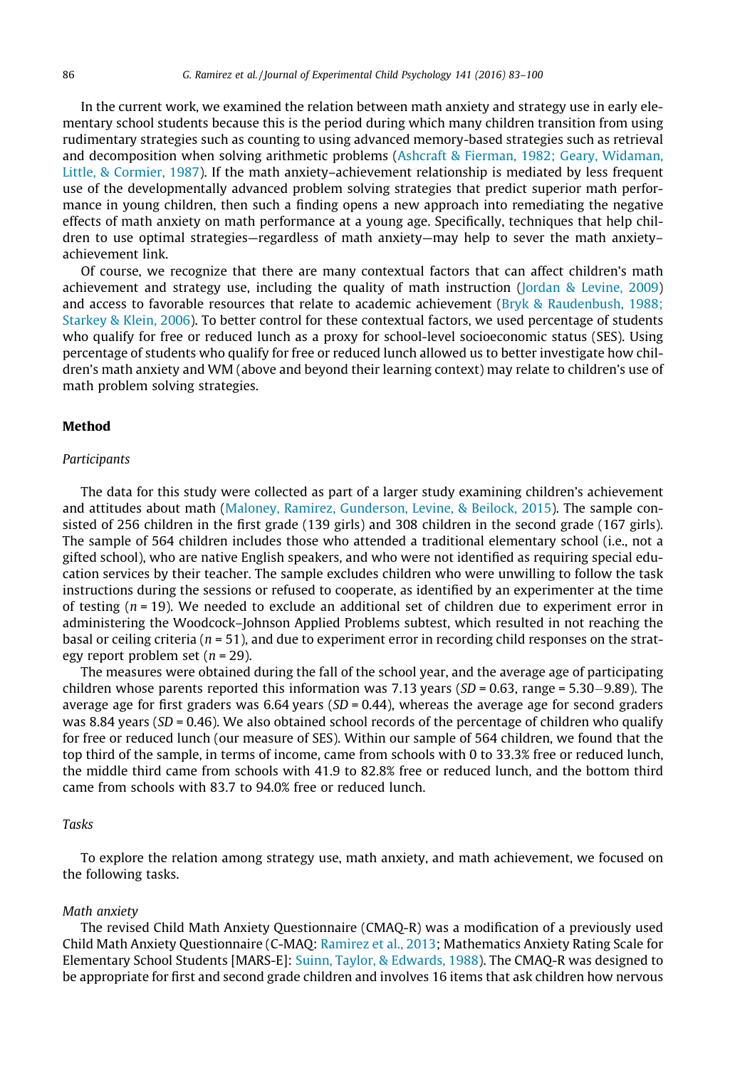In the current work, we examined the relation between math anxiety and strategy use in early elementary school students because this is the period during which many children transition from using rudimentary strategies such as counting to using advanced memory-based strategies such as retrieval and decomposition when solving arithmetic problems [\(Ashcraft & Fierman, 1982; Geary, Widaman,](#page-14-0) [Little, & Cormier, 1987](#page-14-0)). If the math anxiety–achievement relationship is mediated by less frequent use of the developmentally advanced problem solving strategies that predict superior math performance in young children, then such a finding opens a new approach into remediating the negative effects of math anxiety on math performance at a young age. Specifically, techniques that help children to use optimal strategies—regardless of math anxiety—may help to sever the math anxiety– achievement link.

Of course, we recognize that there are many contextual factors that can affect children's math achievement and strategy use, including the quality of math instruction [\(Jordan & Levine, 2009](#page-15-0)) and access to favorable resources that relate to academic achievement [\(Bryk & Raudenbush, 1988;](#page-14-0) [Starkey & Klein, 2006](#page-14-0)). To better control for these contextual factors, we used percentage of students who qualify for free or reduced lunch as a proxy for school-level socioeconomic status (SES). Using percentage of students who qualify for free or reduced lunch allowed us to better investigate how children's math anxiety and WM (above and beyond their learning context) may relate to children's use of math problem solving strategies.

## Method

## **Participants**

The data for this study were collected as part of a larger study examining children's achievement and attitudes about math [\(Maloney, Ramirez, Gunderson, Levine, & Beilock, 2015](#page-16-0)). The sample consisted of 256 children in the first grade (139 girls) and 308 children in the second grade (167 girls). The sample of 564 children includes those who attended a traditional elementary school (i.e., not a gifted school), who are native English speakers, and who were not identified as requiring special education services by their teacher. The sample excludes children who were unwilling to follow the task instructions during the sessions or refused to cooperate, as identified by an experimenter at the time of testing  $(n = 19)$ . We needed to exclude an additional set of children due to experiment error in administering the Woodcock–Johnson Applied Problems subtest, which resulted in not reaching the basal or ceiling criteria ( $n = 51$ ), and due to experiment error in recording child responses on the strategy report problem set  $(n = 29)$ .

The measures were obtained during the fall of the school year, and the average age of participating children whose parents reported this information was 7.13 years (SD = 0.63, range = 5.30-9.89). The average age for first graders was  $6.64$  years ( $SD = 0.44$ ), whereas the average age for second graders was 8.84 years ( $SD = 0.46$ ). We also obtained school records of the percentage of children who qualify for free or reduced lunch (our measure of SES). Within our sample of 564 children, we found that the top third of the sample, in terms of income, came from schools with 0 to 33.3% free or reduced lunch, the middle third came from schools with 41.9 to 82.8% free or reduced lunch, and the bottom third came from schools with 83.7 to 94.0% free or reduced lunch.

## Tasks

To explore the relation among strategy use, math anxiety, and math achievement, we focused on the following tasks.

## Math anxiety

The revised Child Math Anxiety Questionnaire (CMAQ-R) was a modification of a previously used Child Math Anxiety Questionnaire (C-MAQ: [Ramirez et al., 2013;](#page-16-0) Mathematics Anxiety Rating Scale for Elementary School Students [MARS-E]: [Suinn, Taylor, & Edwards, 1988\)](#page-17-0). The CMAQ-R was designed to be appropriate for first and second grade children and involves 16 items that ask children how nervous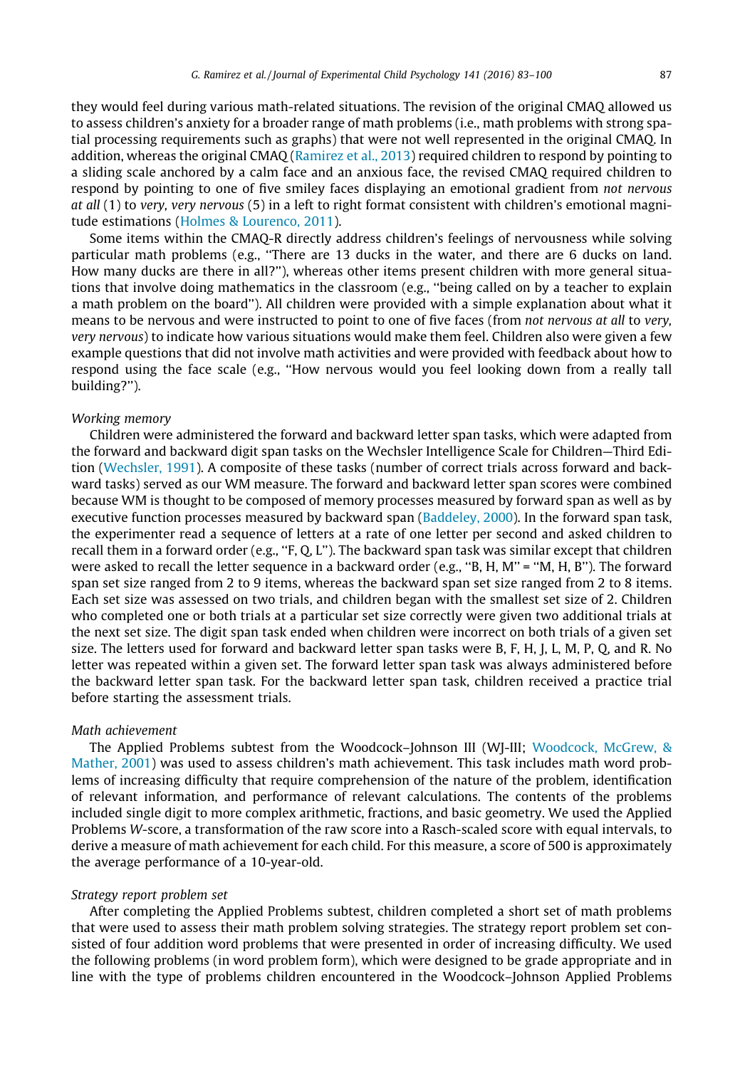they would feel during various math-related situations. The revision of the original CMAQ allowed us to assess children's anxiety for a broader range of math problems (i.e., math problems with strong spatial processing requirements such as graphs) that were not well represented in the original CMAQ. In addition, whereas the original CMAQ ([Ramirez et al., 2013\)](#page-16-0) required children to respond by pointing to a sliding scale anchored by a calm face and an anxious face, the revised CMAQ required children to respond by pointing to one of five smiley faces displaying an emotional gradient from not nervous at all (1) to very, very nervous (5) in a left to right format consistent with children's emotional magnitude estimations ([Holmes & Lourenco, 2011\)](#page-15-0).

Some items within the CMAQ-R directly address children's feelings of nervousness while solving particular math problems (e.g., "There are 13 ducks in the water, and there are 6 ducks on land. How many ducks are there in all?''), whereas other items present children with more general situations that involve doing mathematics in the classroom (e.g., ''being called on by a teacher to explain a math problem on the board''). All children were provided with a simple explanation about what it means to be nervous and were instructed to point to one of five faces (from not nervous at all to very, very nervous) to indicate how various situations would make them feel. Children also were given a few example questions that did not involve math activities and were provided with feedback about how to respond using the face scale (e.g., ''How nervous would you feel looking down from a really tall building?'').

## Working memory

Children were administered the forward and backward letter span tasks, which were adapted from the forward and backward digit span tasks on the Wechsler Intelligence Scale for Children—Third Edition [\(Wechsler, 1991\)](#page-17-0). A composite of these tasks (number of correct trials across forward and backward tasks) served as our WM measure. The forward and backward letter span scores were combined because WM is thought to be composed of memory processes measured by forward span as well as by executive function processes measured by backward span [\(Baddeley, 2000\)](#page-14-0). In the forward span task, the experimenter read a sequence of letters at a rate of one letter per second and asked children to recall them in a forward order (e.g., ''F, Q, L''). The backward span task was similar except that children were asked to recall the letter sequence in a backward order (e.g., "B, H, M" = "M, H, B"). The forward span set size ranged from 2 to 9 items, whereas the backward span set size ranged from 2 to 8 items. Each set size was assessed on two trials, and children began with the smallest set size of 2. Children who completed one or both trials at a particular set size correctly were given two additional trials at the next set size. The digit span task ended when children were incorrect on both trials of a given set size. The letters used for forward and backward letter span tasks were B, F, H, J, L, M, P, Q, and R. No letter was repeated within a given set. The forward letter span task was always administered before the backward letter span task. For the backward letter span task, children received a practice trial before starting the assessment trials.

## Math achievement

The Applied Problems subtest from the Woodcock–Johnson III (WJ-III; [Woodcock, McGrew, &](#page-17-0) [Mather, 2001](#page-17-0)) was used to assess children's math achievement. This task includes math word problems of increasing difficulty that require comprehension of the nature of the problem, identification of relevant information, and performance of relevant calculations. The contents of the problems included single digit to more complex arithmetic, fractions, and basic geometry. We used the Applied Problems W-score, a transformation of the raw score into a Rasch-scaled score with equal intervals, to derive a measure of math achievement for each child. For this measure, a score of 500 is approximately the average performance of a 10-year-old.

### Strategy report problem set

After completing the Applied Problems subtest, children completed a short set of math problems that were used to assess their math problem solving strategies. The strategy report problem set consisted of four addition word problems that were presented in order of increasing difficulty. We used the following problems (in word problem form), which were designed to be grade appropriate and in line with the type of problems children encountered in the Woodcock–Johnson Applied Problems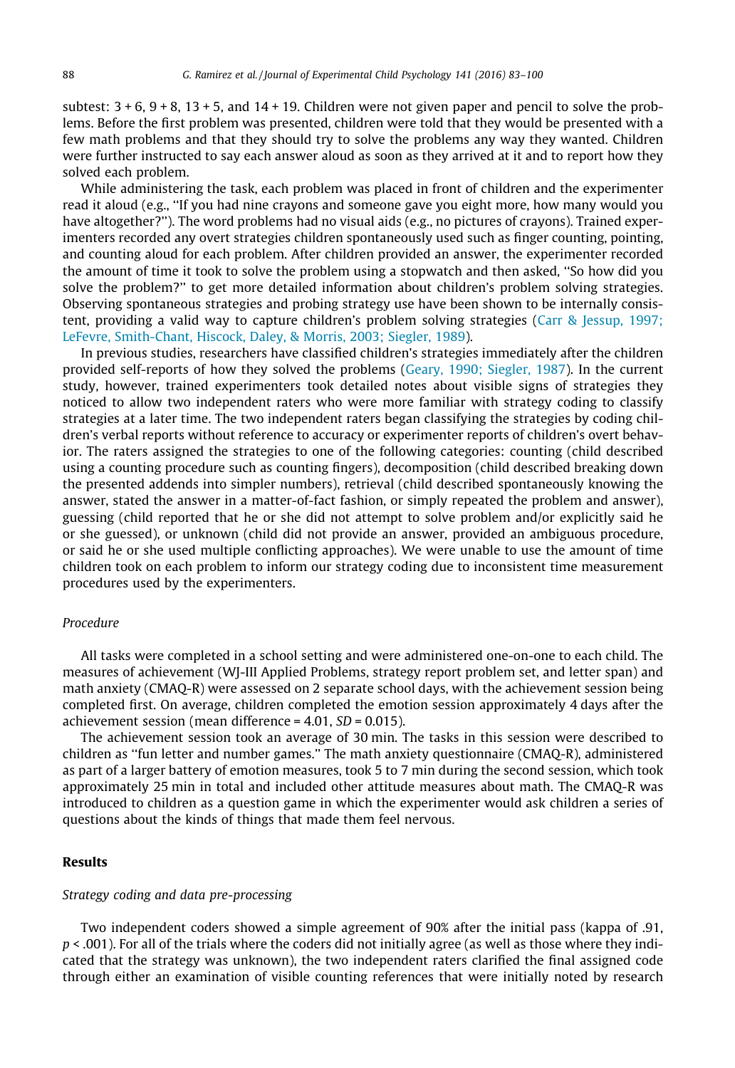subtest:  $3 + 6$ ,  $9 + 8$ ,  $13 + 5$ , and  $14 + 19$ . Children were not given paper and pencil to solve the problems. Before the first problem was presented, children were told that they would be presented with a few math problems and that they should try to solve the problems any way they wanted. Children were further instructed to say each answer aloud as soon as they arrived at it and to report how they solved each problem.

While administering the task, each problem was placed in front of children and the experimenter read it aloud (e.g., ''If you had nine crayons and someone gave you eight more, how many would you have altogether?''). The word problems had no visual aids (e.g., no pictures of crayons). Trained experimenters recorded any overt strategies children spontaneously used such as finger counting, pointing, and counting aloud for each problem. After children provided an answer, the experimenter recorded the amount of time it took to solve the problem using a stopwatch and then asked, ''So how did you solve the problem?'' to get more detailed information about children's problem solving strategies. Observing spontaneous strategies and probing strategy use have been shown to be internally consistent, providing a valid way to capture children's problem solving strategies [\(Carr & Jessup, 1997;](#page-15-0) [LeFevre, Smith-Chant, Hiscock, Daley, & Morris, 2003; Siegler, 1989](#page-15-0)).

In previous studies, researchers have classified children's strategies immediately after the children provided self-reports of how they solved the problems [\(Geary, 1990; Siegler, 1987](#page-15-0)). In the current study, however, trained experimenters took detailed notes about visible signs of strategies they noticed to allow two independent raters who were more familiar with strategy coding to classify strategies at a later time. The two independent raters began classifying the strategies by coding children's verbal reports without reference to accuracy or experimenter reports of children's overt behavior. The raters assigned the strategies to one of the following categories: counting (child described using a counting procedure such as counting fingers), decomposition (child described breaking down the presented addends into simpler numbers), retrieval (child described spontaneously knowing the answer, stated the answer in a matter-of-fact fashion, or simply repeated the problem and answer), guessing (child reported that he or she did not attempt to solve problem and/or explicitly said he or she guessed), or unknown (child did not provide an answer, provided an ambiguous procedure, or said he or she used multiple conflicting approaches). We were unable to use the amount of time children took on each problem to inform our strategy coding due to inconsistent time measurement procedures used by the experimenters.

## Procedure

All tasks were completed in a school setting and were administered one-on-one to each child. The measures of achievement (WJ-III Applied Problems, strategy report problem set, and letter span) and math anxiety (CMAQ-R) were assessed on 2 separate school days, with the achievement session being completed first. On average, children completed the emotion session approximately 4 days after the achievement session (mean difference =  $4.01$ ,  $SD = 0.015$ ).

The achievement session took an average of 30 min. The tasks in this session were described to children as ''fun letter and number games.'' The math anxiety questionnaire (CMAQ-R), administered as part of a larger battery of emotion measures, took 5 to 7 min during the second session, which took approximately 25 min in total and included other attitude measures about math. The CMAQ-R was introduced to children as a question game in which the experimenter would ask children a series of questions about the kinds of things that made them feel nervous.

## Results

## Strategy coding and data pre-processing

Two independent coders showed a simple agreement of 90% after the initial pass (kappa of .91,  $p < .001$ ). For all of the trials where the coders did not initially agree (as well as those where they indicated that the strategy was unknown), the two independent raters clarified the final assigned code through either an examination of visible counting references that were initially noted by research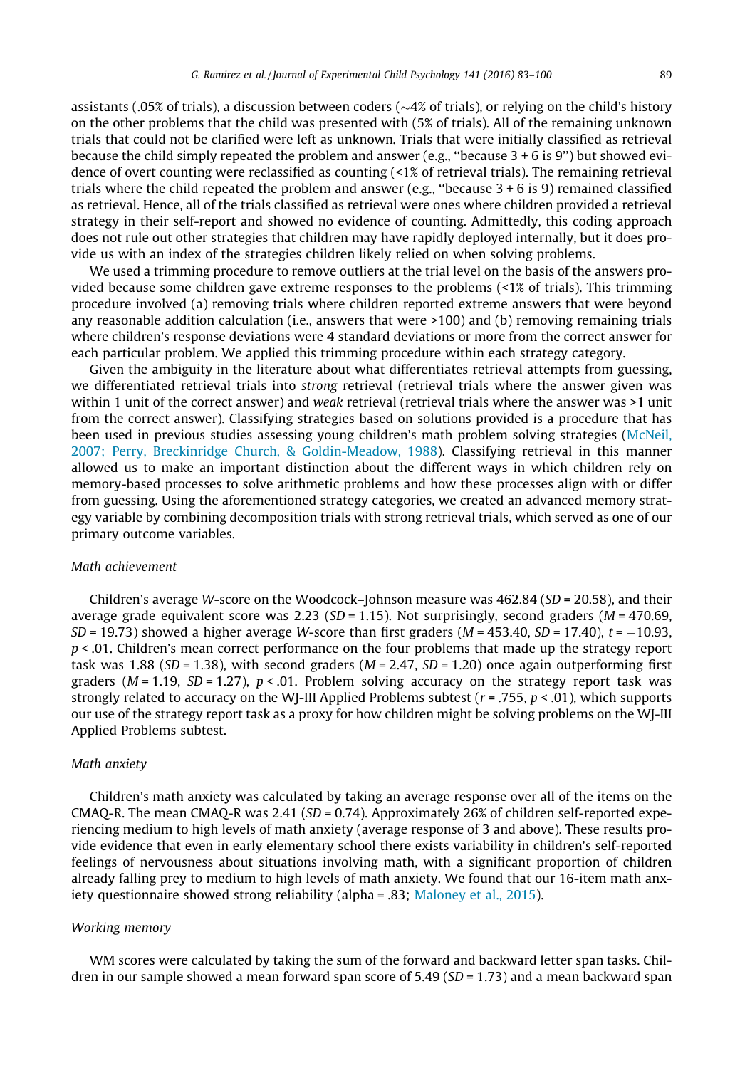assistants (.05% of trials), a discussion between coders ( $\sim$ 4% of trials), or relying on the child's history on the other problems that the child was presented with (5% of trials). All of the remaining unknown trials that could not be clarified were left as unknown. Trials that were initially classified as retrieval because the child simply repeated the problem and answer (e.g., ''because 3 + 6 is 9'') but showed evidence of overt counting were reclassified as counting (<1% of retrieval trials). The remaining retrieval trials where the child repeated the problem and answer (e.g., "because  $3 + 6$  is 9) remained classified as retrieval. Hence, all of the trials classified as retrieval were ones where children provided a retrieval strategy in their self-report and showed no evidence of counting. Admittedly, this coding approach does not rule out other strategies that children may have rapidly deployed internally, but it does provide us with an index of the strategies children likely relied on when solving problems.

We used a trimming procedure to remove outliers at the trial level on the basis of the answers provided because some children gave extreme responses to the problems (<1% of trials). This trimming procedure involved (a) removing trials where children reported extreme answers that were beyond any reasonable addition calculation (i.e., answers that were >100) and (b) removing remaining trials where children's response deviations were 4 standard deviations or more from the correct answer for each particular problem. We applied this trimming procedure within each strategy category.

Given the ambiguity in the literature about what differentiates retrieval attempts from guessing, we differentiated retrieval trials into strong retrieval (retrieval trials where the answer given was within 1 unit of the correct answer) and weak retrieval (retrieval trials where the answer was >1 unit from the correct answer). Classifying strategies based on solutions provided is a procedure that has been used in previous studies assessing young children's math problem solving strategies [\(McNeil,](#page-16-0) [2007; Perry, Breckinridge Church, & Goldin-Meadow, 1988\)](#page-16-0). Classifying retrieval in this manner allowed us to make an important distinction about the different ways in which children rely on memory-based processes to solve arithmetic problems and how these processes align with or differ from guessing. Using the aforementioned strategy categories, we created an advanced memory strategy variable by combining decomposition trials with strong retrieval trials, which served as one of our primary outcome variables.

## Math achievement

Children's average W-score on the Woodcock–Johnson measure was  $462.84$  (SD = 20.58), and their average grade equivalent score was 2.23 (SD = 1.15). Not surprisingly, second graders ( $M = 470.69$ ,  $SD$  = 19.73) showed a higher average W-score than first graders (M = 453.40, SD = 17.40), t =  $-10.93$ ,  $p < 0.01$ . Children's mean correct performance on the four problems that made up the strategy report task was 1.88 (SD = 1.38), with second graders ( $M = 2.47$ , SD = 1.20) once again outperforming first graders ( $M = 1.19$ ,  $SD = 1.27$ ),  $p < .01$ . Problem solving accuracy on the strategy report task was strongly related to accuracy on the WI-III Applied Problems subtest ( $r = .755$ ,  $p < .01$ ), which supports our use of the strategy report task as a proxy for how children might be solving problems on the WJ-III Applied Problems subtest.

## Math anxiety

Children's math anxiety was calculated by taking an average response over all of the items on the CMAQ-R. The mean CMAQ-R was  $2.41$  (SD = 0.74). Approximately 26% of children self-reported experiencing medium to high levels of math anxiety (average response of 3 and above). These results provide evidence that even in early elementary school there exists variability in children's self-reported feelings of nervousness about situations involving math, with a significant proportion of children already falling prey to medium to high levels of math anxiety. We found that our 16-item math anxiety questionnaire showed strong reliability (alpha = .83; [Maloney et al., 2015](#page-16-0)).

## Working memory

WM scores were calculated by taking the sum of the forward and backward letter span tasks. Children in our sample showed a mean forward span score of 5.49 ( $SD = 1.73$ ) and a mean backward span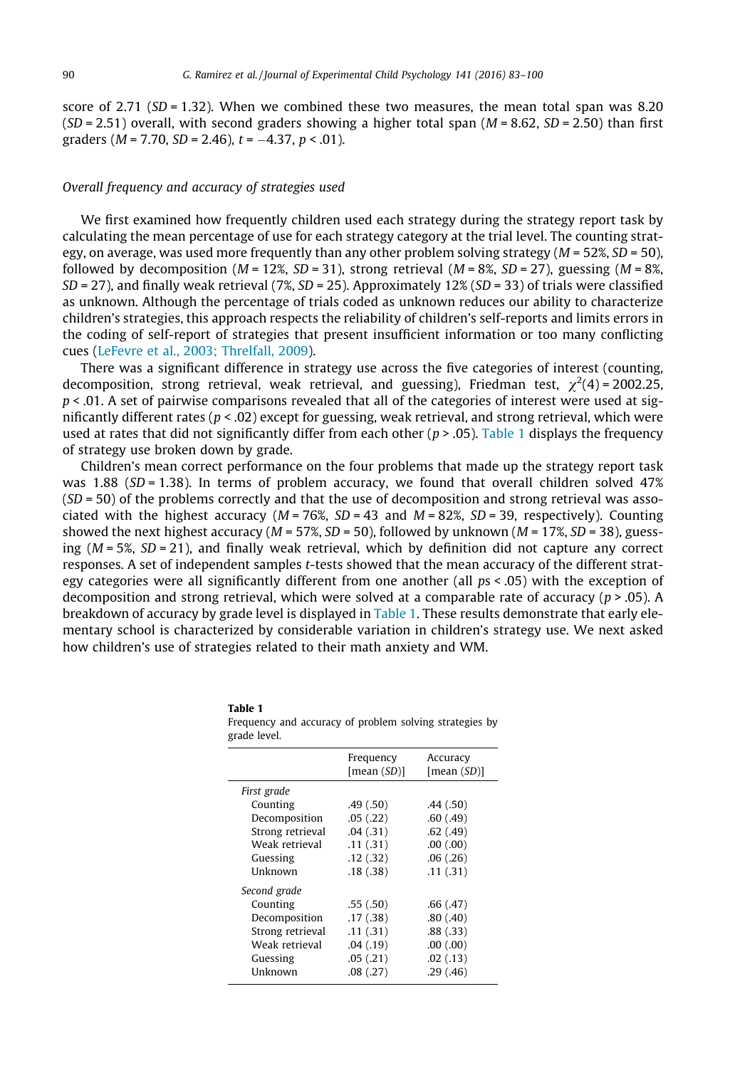score of 2.71 ( $SD = 1.32$ ). When we combined these two measures, the mean total span was 8.20  $(SD = 2.51)$  overall, with second graders showing a higher total span  $(M = 8.62, SD = 2.50)$  than first graders (M = 7.70, SD = 2.46),  $t = -4.37$ ,  $p < .01$ ).

## Overall frequency and accuracy of strategies used

We first examined how frequently children used each strategy during the strategy report task by calculating the mean percentage of use for each strategy category at the trial level. The counting strategy, on average, was used more frequently than any other problem solving strategy ( $M = 52\%, SD = 50$ ), followed by decomposition ( $M = 12\%$ ,  $SD = 31$ ), strong retrieval ( $M = 8\%$ ,  $SD = 27$ ), guessing ( $M = 8\%$ ,  $SD = 27$ ), and finally weak retrieval (7%,  $SD = 25$ ). Approximately 12% ( $SD = 33$ ) of trials were classified as unknown. Although the percentage of trials coded as unknown reduces our ability to characterize children's strategies, this approach respects the reliability of children's self-reports and limits errors in the coding of self-report of strategies that present insufficient information or too many conflicting cues [\(LeFevre et al., 2003; Threlfall, 2009](#page-16-0)).

There was a significant difference in strategy use across the five categories of interest (counting, decomposition, strong retrieval, weak retrieval, and guessing), Friedman test,  $\chi^2(4)$ =2002.25,  $p < 0.01$ . A set of pairwise comparisons revealed that all of the categories of interest were used at significantly different rates ( $p < .02$ ) except for guessing, weak retrieval, and strong retrieval, which were used at rates that did not significantly differ from each other  $(p > .05)$ . Table 1 displays the frequency of strategy use broken down by grade.

Children's mean correct performance on the four problems that made up the strategy report task was 1.88 ( $SD = 1.38$ ). In terms of problem accuracy, we found that overall children solved 47%  $(SD = 50)$  of the problems correctly and that the use of decomposition and strong retrieval was associated with the highest accuracy ( $M = 76\%$ ,  $SD = 43$  and  $M = 82\%$ ,  $SD = 39$ , respectively). Counting showed the next highest accuracy ( $M = 57\%, SD = 50$ ), followed by unknown ( $M = 17\%, SD = 38$ ), guessing  $(M = 5\%, SD = 21)$ , and finally weak retrieval, which by definition did not capture any correct responses. A set of independent samples t-tests showed that the mean accuracy of the different strategy categories were all significantly different from one another (all ps < .05) with the exception of decomposition and strong retrieval, which were solved at a comparable rate of accuracy ( $p > .05$ ). A breakdown of accuracy by grade level is displayed in Table 1. These results demonstrate that early elementary school is characterized by considerable variation in children's strategy use. We next asked how children's use of strategies related to their math anxiety and WM.

| grade level.     |                         |                        |  |  |  |  |
|------------------|-------------------------|------------------------|--|--|--|--|
|                  | Frequency<br>[mean(SD)] | Accuracy<br>[mean(SD)] |  |  |  |  |
| First grade      |                         |                        |  |  |  |  |
| Counting         | .49(.50)                | .44(.50)               |  |  |  |  |
| Decomposition    | .05(.22)                | .60(.49)               |  |  |  |  |
| Strong retrieval | .04(.31)                | .62(.49)               |  |  |  |  |
| Weak retrieval   | .11(.31)                | .00(.00)               |  |  |  |  |
| Guessing         | .12(.32)                | .06(.26)               |  |  |  |  |
| Unknown          | .18(.38)                | .11(.31)               |  |  |  |  |
| Second grade     |                         |                        |  |  |  |  |
| Counting         | .55(.50)                | .66(.47)               |  |  |  |  |
| Decomposition    | .17(.38)                | .80(.40)               |  |  |  |  |
| Strong retrieval | .11(.31)                | .88(.33)               |  |  |  |  |
| Weak retrieval   | .04(.19)                | .00(.00)               |  |  |  |  |
| Guessing         | .05(.21)                | .02(0.13)              |  |  |  |  |
| Unknown          | .08(.27)                | .29(.46)               |  |  |  |  |
|                  |                         |                        |  |  |  |  |

| Frequency and accuracy of problem solving strategies by |  |  |  |
|---------------------------------------------------------|--|--|--|
| grade level.                                            |  |  |  |

Table 1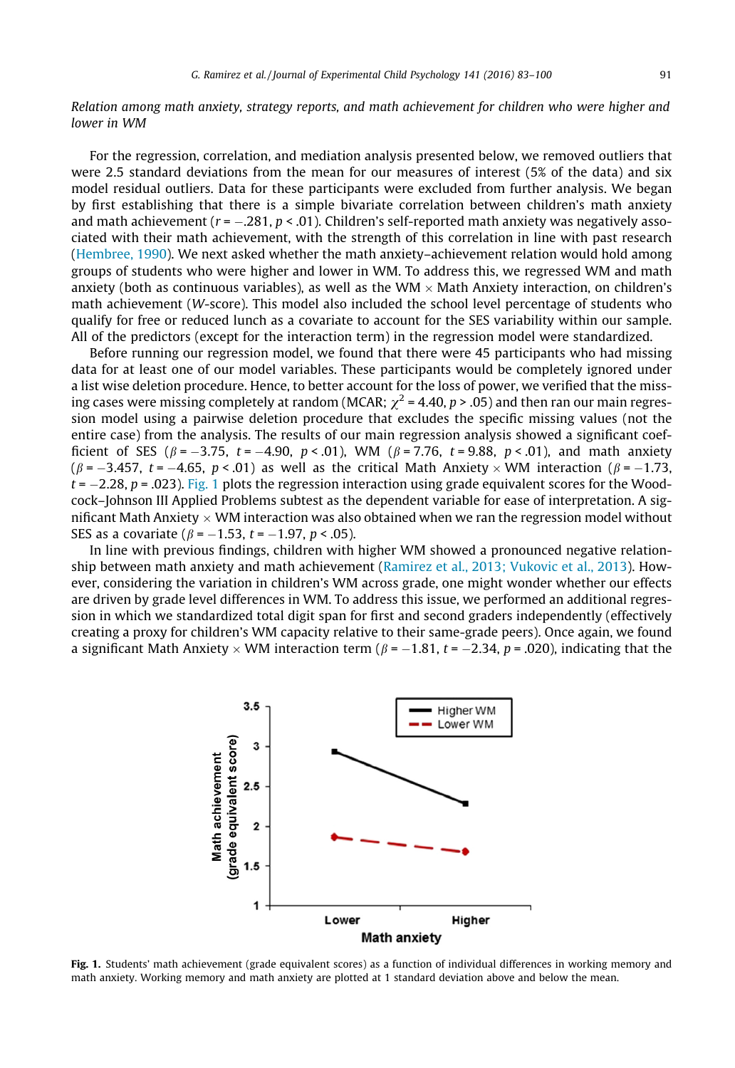Relation among math anxiety, strategy reports, and math achievement for children who were higher and lower in WM

For the regression, correlation, and mediation analysis presented below, we removed outliers that were 2.5 standard deviations from the mean for our measures of interest (5% of the data) and six model residual outliers. Data for these participants were excluded from further analysis. We began by first establishing that there is a simple bivariate correlation between children's math anxiety and math achievement ( $r = -.281, p < .01$ ). Children's self-reported math anxiety was negatively associated with their math achievement, with the strength of this correlation in line with past research [\(Hembree, 1990](#page-15-0)). We next asked whether the math anxiety–achievement relation would hold among groups of students who were higher and lower in WM. To address this, we regressed WM and math anxiety (both as continuous variables), as well as the WM  $\times$  Math Anxiety interaction, on children's math achievement (W-score). This model also included the school level percentage of students who qualify for free or reduced lunch as a covariate to account for the SES variability within our sample. All of the predictors (except for the interaction term) in the regression model were standardized.

Before running our regression model, we found that there were 45 participants who had missing data for at least one of our model variables. These participants would be completely ignored under a list wise deletion procedure. Hence, to better account for the loss of power, we verified that the missing cases were missing completely at random (MCAR;  $\chi^2$  = 4.40, p > .05) and then ran our main regression model using a pairwise deletion procedure that excludes the specific missing values (not the entire case) from the analysis. The results of our main regression analysis showed a significant coefficient of SES ( $\beta = -3.75$ ,  $t = -4.90$ ,  $p < .01$ ), WM ( $\beta = 7.76$ ,  $t = 9.88$ ,  $p < .01$ ), and math anxiety ( $\beta$  =  $-3.457$ , t =  $-4.65$ , p < .01) as well as the critical Math Anxiety  $\times$  WM interaction ( $\beta$  =  $-1.73$ ,  $t$  =  $-2.28$ , p = .023). Fig. 1 plots the regression interaction using grade equivalent scores for the Woodcock–Johnson III Applied Problems subtest as the dependent variable for ease of interpretation. A significant Math Anxiety  $\times$  WM interaction was also obtained when we ran the regression model without SES as a covariate ( $\beta$  =  $-1.53$ , t =  $-1.97$ , p < .05).

In line with previous findings, children with higher WM showed a pronounced negative relationship between math anxiety and math achievement [\(Ramirez et al., 2013; Vukovic et al., 2013](#page-16-0)). However, considering the variation in children's WM across grade, one might wonder whether our effects are driven by grade level differences in WM. To address this issue, we performed an additional regression in which we standardized total digit span for first and second graders independently (effectively creating a proxy for children's WM capacity relative to their same-grade peers). Once again, we found a significant Math Anxiety  $\times$  WM interaction term ( $\beta$  =  $-1.81$ , t =  $-2.34$ , p = .020), indicating that the



Fig. 1. Students' math achievement (grade equivalent scores) as a function of individual differences in working memory and math anxiety. Working memory and math anxiety are plotted at 1 standard deviation above and below the mean.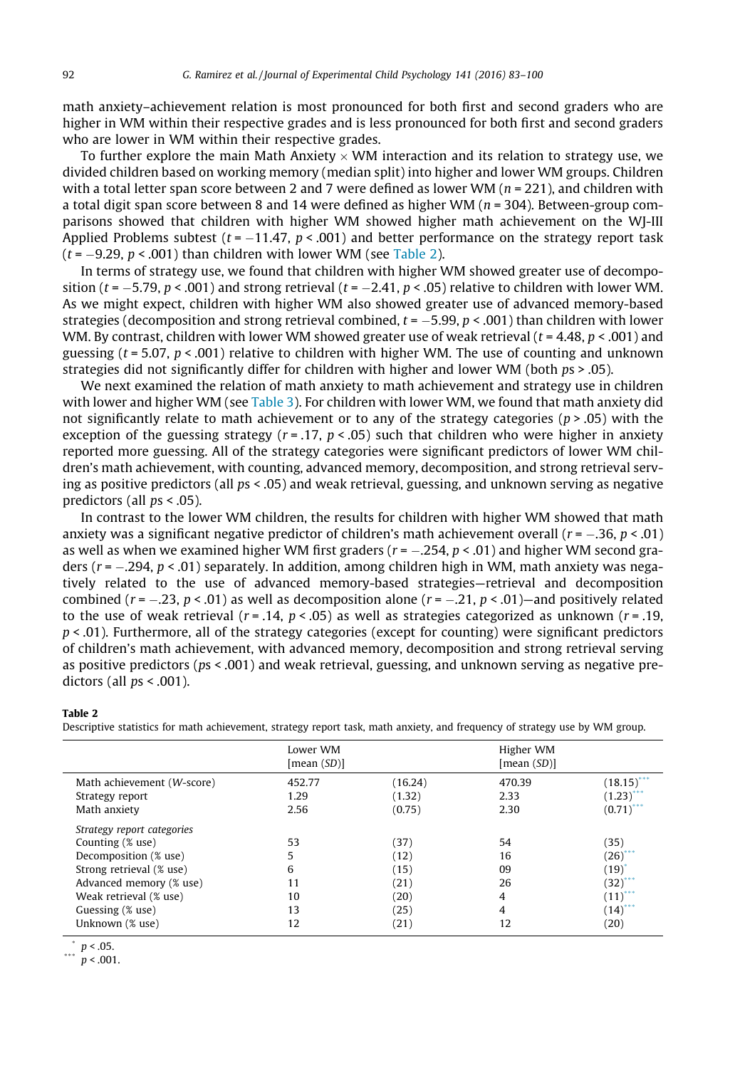math anxiety–achievement relation is most pronounced for both first and second graders who are higher in WM within their respective grades and is less pronounced for both first and second graders who are lower in WM within their respective grades.

To further explore the main Math Anxiety  $\times$  WM interaction and its relation to strategy use, we divided children based on working memory (median split) into higher and lower WM groups. Children with a total letter span score between 2 and 7 were defined as lower WM  $(n = 221)$ , and children with a total digit span score between 8 and 14 were defined as higher WM  $(n = 304)$ . Between-group comparisons showed that children with higher WM showed higher math achievement on the WJ-III Applied Problems subtest ( $t$  =  $-11.47$ ,  $p$  < .001) and better performance on the strategy report task  $(t = -9.29, p < .001)$  than children with lower WM (see Table 2).

In terms of strategy use, we found that children with higher WM showed greater use of decomposition ( $t = -5.79$ ,  $p < .001$ ) and strong retrieval ( $t = -2.41$ ,  $p < .05$ ) relative to children with lower WM. As we might expect, children with higher WM also showed greater use of advanced memory-based strategies (decomposition and strong retrieval combined,  $t$  =  $-5.99$ ,  $p$  < .001) than children with lower WM. By contrast, children with lower WM showed greater use of weak retrieval ( $t = 4.48$ ,  $p < .001$ ) and guessing ( $t = 5.07$ ,  $p < .001$ ) relative to children with higher WM. The use of counting and unknown strategies did not significantly differ for children with higher and lower WM (both  $ps > .05$ ).

We next examined the relation of math anxiety to math achievement and strategy use in children with lower and higher WM (see [Table 3](#page-10-0)). For children with lower WM, we found that math anxiety did not significantly relate to math achievement or to any of the strategy categories ( $p > .05$ ) with the exception of the guessing strategy ( $r = .17$ ,  $p < .05$ ) such that children who were higher in anxiety reported more guessing. All of the strategy categories were significant predictors of lower WM children's math achievement, with counting, advanced memory, decomposition, and strong retrieval serving as positive predictors (all  $ps < .05$ ) and weak retrieval, guessing, and unknown serving as negative predictors (all  $ps < .05$ ).

In contrast to the lower WM children, the results for children with higher WM showed that math anxiety was a significant negative predictor of children's math achievement overall (r =  $-.36, p < .01$ ) as well as when we examined higher WM first graders ( $r = -.254$ ,  $p < .01$ ) and higher WM second graders ( $r$  = –.294,  $p$  < .01) separately. In addition, among children high in WM, math anxiety was negatively related to the use of advanced memory-based strategies—retrieval and decomposition combined ( $r = -.23$ ,  $p < .01$ ) as well as decomposition alone ( $r = -.21$ ,  $p < .01$ )—and positively related to the use of weak retrieval ( $r = .14$ ,  $p < .05$ ) as well as strategies categorized as unknown ( $r = .19$ ,  $p < .01$ ). Furthermore, all of the strategy categories (except for counting) were significant predictors of children's math achievement, with advanced memory, decomposition and strong retrieval serving as positive predictors (ps < .001) and weak retrieval, guessing, and unknown serving as negative predictors (all  $ps < .001$ ).

#### Table 2

Descriptive statistics for math achievement, strategy report task, math anxiety, and frequency of strategy use by WM group.

|                            | Lower WM<br>[mean(SD)] |         | Higher WM<br>[mean(SD)] |                                             |
|----------------------------|------------------------|---------|-------------------------|---------------------------------------------|
| Math achievement (W-score) | 452.77                 | (16.24) | 470.39                  | (18.15)                                     |
| Strategy report            | 1.29                   | (1.32)  | 2.33                    | $(1.23)$ <sup>*</sup>                       |
| Math anxiety               | 2.56                   | (0.75)  | 2.30                    | $(0.71)$ <sup>****</sup>                    |
| Strategy report categories |                        |         |                         |                                             |
| Counting (% use)           | 53                     | (37)    | 54                      | (35)                                        |
| Decomposition (% use)      | 5                      | (12)    | 16                      | (26)                                        |
| Strong retrieval (% use)   | 6                      | (15)    | 09                      | $(19)$ <sup><math>\overline{ }</math></sup> |
| Advanced memory (% use)    | 11                     | (21)    | 26                      | $(32)$ <sup>***</sup>                       |
| Weak retrieval (% use)     | 10                     | (20)    | 4                       | $(11)^{***}$                                |
| Guessing (% use)           | 13                     | (25)    | 4                       | $(14)^{***}$                                |
| Unknown (% use)            | 12                     | (21)    | 12                      | (20)                                        |

\*  $p < 0.05$ .

 $p < .001.$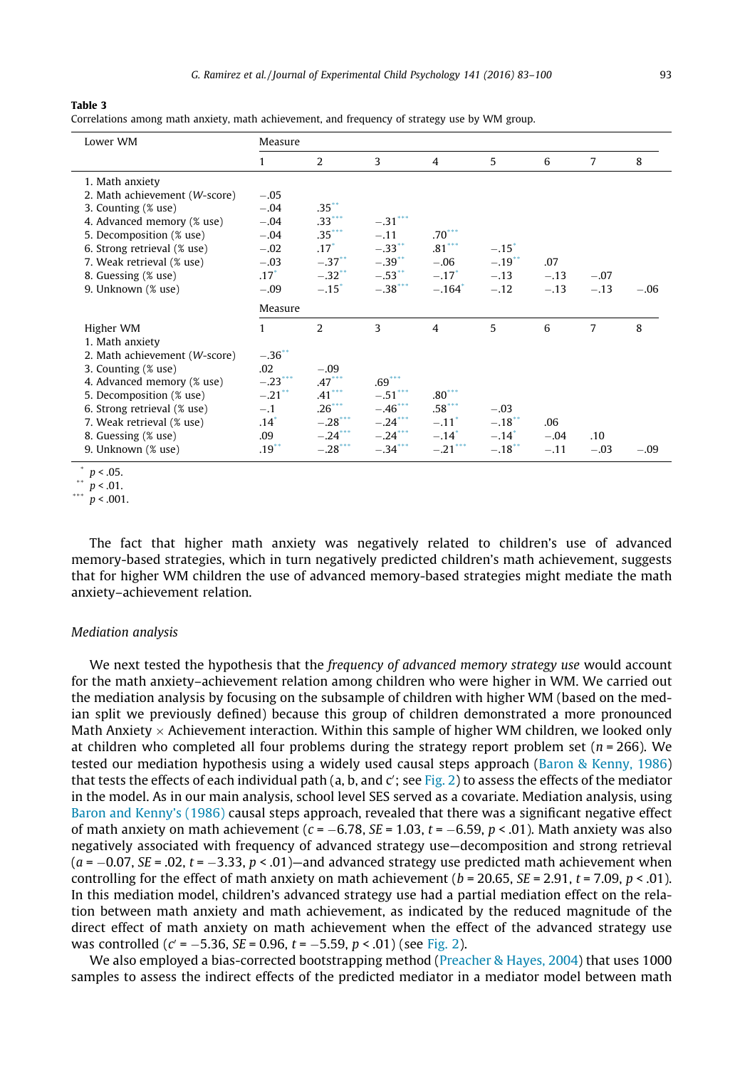### <span id="page-10-0"></span>Table 3

Correlations among math anxiety, math achievement, and frequency of strategy use by WM group.

| Lower WM                          | Measure              |                       |                      |                     |                      |        |                |        |
|-----------------------------------|----------------------|-----------------------|----------------------|---------------------|----------------------|--------|----------------|--------|
|                                   | 1                    | $\overline{2}$        | 3                    | $\overline{4}$      | 5                    | 6      | $\overline{7}$ | 8      |
| 1. Math anxiety                   |                      |                       |                      |                     |                      |        |                |        |
| 2. Math achievement (W-score)     | $-.05$               |                       |                      |                     |                      |        |                |        |
| 3. Counting (% use)               | $-.04$               | $.35$ $\cdot$         |                      |                     |                      |        |                |        |
| 4. Advanced memory (% use)        | $-.04$               | $.33***$              | $-.31$ <sup>**</sup> |                     |                      |        |                |        |
| 5. Decomposition (% use)          | $-.04$               | $.35***$              | $-.11$               | $.70***$            |                      |        |                |        |
| 6. Strong retrieval (% use)       | $-.02$               | $.17*$                | $-.33$               | $.81***$            | $-.15"$              |        |                |        |
| 7. Weak retrieval (% use)         | $-.03$               | $-.37$ <sup>**</sup>  | $-.39$ <sup>**</sup> | $-.06$              | $-.19$ <sup>**</sup> | .07    |                |        |
| 8. Guessing (% use)               | $.17^{\circ}$        | $-.32$ **             | $-.53$ <sup>**</sup> | $-.17$ <sup>*</sup> | $-.13$               | $-.13$ | $-.07$         |        |
| 9. Unknown (% use)                | $-.09$               | $-.15$ <sup>*</sup>   | $-.38$               | $-.164"$            | $-.12$               | $-.13$ | $-.13$         | $-.06$ |
|                                   | Measure              |                       |                      |                     |                      |        |                |        |
| Higher WM                         | 1                    | 2                     | 3                    | $\overline{4}$      | 5                    | 6      | $\overline{7}$ | 8      |
| 1. Math anxiety                   |                      |                       |                      |                     |                      |        |                |        |
| 2. Math achievement (W-score)     | $-.36$ <sup>**</sup> |                       |                      |                     |                      |        |                |        |
| 3. Counting (% use)               | .02                  | $-.09$                |                      |                     |                      |        |                |        |
| 4. Advanced memory (% use)        | $-.23$ ***           | $.47***$              | $.69***$             |                     |                      |        |                |        |
| 5. Decomposition (% use)          | $-.21$ **            | $.41$ <sup>****</sup> | $-.51$ ***           | $.80***$            |                      |        |                |        |
| 6. Strong retrieval (% use)       | $-.1$                | $.26***$              | $-.46$ ***           | .58                 | $-.03$               |        |                |        |
| 7. Weak retrieval (% use)         | $.14*$               | $-.28***$             | $-.24$ ***           | $-.11$ <sup>*</sup> | $-.18$ <sup>**</sup> | .06    |                |        |
| 8. Guessing (% use)               | .09                  | $-.24$ ***            | $-.24$ ***           | $-.14"$             | $-.14"$              | $-.04$ | .10            |        |
| 9. Unknown (% use)                | $.19***$             | $-.28***$             | $-.34$ ***           | $-.21$ ***          | $-.18$               | $-.11$ | $-.03$         | $-.09$ |
| $^\ast~p$ < .05.<br>$n \times 01$ |                      |                       |                      |                     |                      |        |                |        |

\*\*  $p < .01$ .

\*\*\*  $p < .001$ .

The fact that higher math anxiety was negatively related to children's use of advanced memory-based strategies, which in turn negatively predicted children's math achievement, suggests that for higher WM children the use of advanced memory-based strategies might mediate the math anxiety–achievement relation.

## Mediation analysis

We next tested the hypothesis that the frequency of advanced memory strategy use would account for the math anxiety–achievement relation among children who were higher in WM. We carried out the mediation analysis by focusing on the subsample of children with higher WM (based on the median split we previously defined) because this group of children demonstrated a more pronounced Math Anxiety  $\times$  Achievement interaction. Within this sample of higher WM children, we looked only at children who completed all four problems during the strategy report problem set ( $n = 266$ ). We tested our mediation hypothesis using a widely used causal steps approach [\(Baron & Kenny, 1986\)](#page-14-0) that tests the effects of each individual path (a, b, and  $c'$ ; see [Fig. 2](#page-11-0)) to assess the effects of the mediator in the model. As in our main analysis, school level SES served as a covariate. Mediation analysis, using [Baron and Kenny's \(1986\)](#page-14-0) causal steps approach, revealed that there was a significant negative effect of math anxiety on math achievement ( $c = -6.78$ ,  $SE = 1.03$ ,  $t = -6.59$ ,  $p < .01$ ). Math anxiety was also negatively associated with frequency of advanced strategy use—decomposition and strong retrieval (a = –0.07, SE = .02, t = –3.33, p < .01)—and advanced strategy use predicted math achievement when controlling for the effect of math anxiety on math achievement ( $b = 20.65$ ,  $SE = 2.91$ ,  $t = 7.09$ ,  $p < .01$ ). In this mediation model, children's advanced strategy use had a partial mediation effect on the relation between math anxiety and math achievement, as indicated by the reduced magnitude of the direct effect of math anxiety on math achievement when the effect of the advanced strategy use was controlled ( $c' = -5.36$ ,  $SE = 0.96$ ,  $t = -5.59$ ,  $p < .01$ ) (see [Fig. 2\)](#page-11-0).

We also employed a bias-corrected bootstrapping method ([Preacher & Hayes, 2004](#page-16-0)) that uses 1000 samples to assess the indirect effects of the predicted mediator in a mediator model between math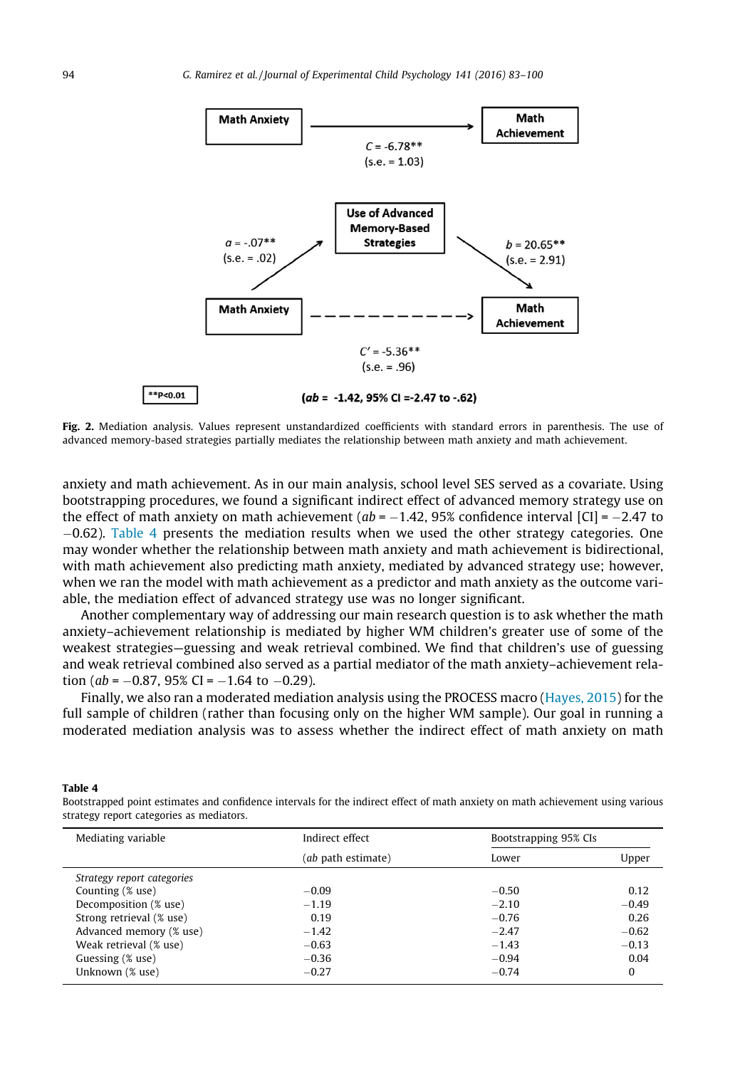<span id="page-11-0"></span>

Fig. 2. Mediation analysis. Values represent unstandardized coefficients with standard errors in parenthesis. The use of advanced memory-based strategies partially mediates the relationship between math anxiety and math achievement.

anxiety and math achievement. As in our main analysis, school level SES served as a covariate. Using bootstrapping procedures, we found a significant indirect effect of advanced memory strategy use on the effect of math anxiety on math achievement (ab =  $-1.42$ , 95% confidence interval [CI] =  $-2.47$  to -0.62). Table 4 presents the mediation results when we used the other strategy categories. One may wonder whether the relationship between math anxiety and math achievement is bidirectional, with math achievement also predicting math anxiety, mediated by advanced strategy use; however, when we ran the model with math achievement as a predictor and math anxiety as the outcome variable, the mediation effect of advanced strategy use was no longer significant.

Another complementary way of addressing our main research question is to ask whether the math anxiety–achievement relationship is mediated by higher WM children's greater use of some of the weakest strategies—guessing and weak retrieval combined. We find that children's use of guessing and weak retrieval combined also served as a partial mediator of the math anxiety–achievement relation (*ab* =  $-0.87$ , 95% CI =  $-1.64$  to  $-0.29$ ).

Finally, we also ran a moderated mediation analysis using the PROCESS macro [\(Hayes, 2015\)](#page-15-0) for the full sample of children (rather than focusing only on the higher WM sample). Our goal in running a moderated mediation analysis was to assess whether the indirect effect of math anxiety on math

#### Table 4

Bootstrapped point estimates and confidence intervals for the indirect effect of math anxiety on math achievement using various strategy report categories as mediators.

| Mediating variable         | Indirect effect    | Bootstrapping 95% CIs |          |
|----------------------------|--------------------|-----------------------|----------|
|                            | (ab path estimate) | Lower                 | Upper    |
| Strategy report categories |                    |                       |          |
| Counting (% use)           | $-0.09$            | $-0.50$               | 0.12     |
| Decomposition (% use)      | $-1.19$            | $-2.10$               | $-0.49$  |
| Strong retrieval (% use)   | 0.19               | $-0.76$               | 0.26     |
| Advanced memory (% use)    | $-1.42$            | $-2.47$               | $-0.62$  |
| Weak retrieval (% use)     | $-0.63$            | $-1.43$               | $-0.13$  |
| Guessing (% use)           | $-0.36$            | $-0.94$               | 0.04     |
| Unknown (% use)            | $-0.27$            | $-0.74$               | $\Omega$ |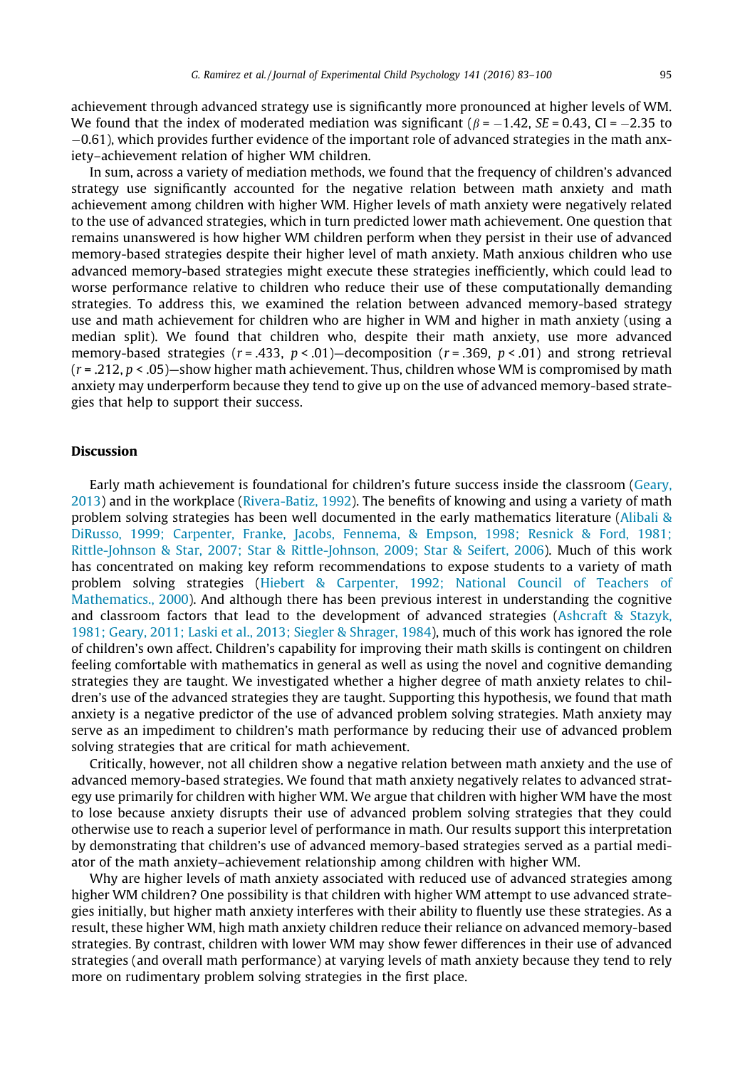achievement through advanced strategy use is significantly more pronounced at higher levels of WM. We found that the index of moderated mediation was significant ( $\beta$  =  $-1.42$ , SE = 0.43, CI =  $-2.35$  to -0.61), which provides further evidence of the important role of advanced strategies in the math anxiety–achievement relation of higher WM children.

In sum, across a variety of mediation methods, we found that the frequency of children's advanced strategy use significantly accounted for the negative relation between math anxiety and math achievement among children with higher WM. Higher levels of math anxiety were negatively related to the use of advanced strategies, which in turn predicted lower math achievement. One question that remains unanswered is how higher WM children perform when they persist in their use of advanced memory-based strategies despite their higher level of math anxiety. Math anxious children who use advanced memory-based strategies might execute these strategies inefficiently, which could lead to worse performance relative to children who reduce their use of these computationally demanding strategies. To address this, we examined the relation between advanced memory-based strategy use and math achievement for children who are higher in WM and higher in math anxiety (using a median split). We found that children who, despite their math anxiety, use more advanced memory-based strategies ( $r = .433$ ,  $p < .01$ )—decomposition ( $r = .369$ ,  $p < .01$ ) and strong retrieval  $(r = .212, p < .05)$  – show higher math achievement. Thus, children whose WM is compromised by math anxiety may underperform because they tend to give up on the use of advanced memory-based strategies that help to support their success.

## Discussion

Early math achievement is foundational for children's future success inside the classroom ([Geary,](#page-15-0) [2013](#page-15-0)) and in the workplace ([Rivera-Batiz, 1992\)](#page-16-0). The benefits of knowing and using a variety of math problem solving strategies has been well documented in the early mathematics literature [\(Alibali &](#page-14-0) [DiRusso, 1999; Carpenter, Franke, Jacobs, Fennema, & Empson, 1998; Resnick & Ford, 1981;](#page-14-0) [Rittle-Johnson & Star, 2007; Star & Rittle-Johnson, 2009; Star & Seifert, 2006](#page-14-0)). Much of this work has concentrated on making key reform recommendations to expose students to a variety of math problem solving strategies ([Hiebert & Carpenter, 1992; National Council of Teachers of](#page-15-0) [Mathematics., 2000](#page-15-0)). And although there has been previous interest in understanding the cognitive and classroom factors that lead to the development of advanced strategies [\(Ashcraft & Stazyk,](#page-14-0) [1981; Geary, 2011; Laski et al., 2013; Siegler & Shrager, 1984\)](#page-14-0), much of this work has ignored the role of children's own affect. Children's capability for improving their math skills is contingent on children feeling comfortable with mathematics in general as well as using the novel and cognitive demanding strategies they are taught. We investigated whether a higher degree of math anxiety relates to children's use of the advanced strategies they are taught. Supporting this hypothesis, we found that math anxiety is a negative predictor of the use of advanced problem solving strategies. Math anxiety may serve as an impediment to children's math performance by reducing their use of advanced problem solving strategies that are critical for math achievement.

Critically, however, not all children show a negative relation between math anxiety and the use of advanced memory-based strategies. We found that math anxiety negatively relates to advanced strategy use primarily for children with higher WM. We argue that children with higher WM have the most to lose because anxiety disrupts their use of advanced problem solving strategies that they could otherwise use to reach a superior level of performance in math. Our results support this interpretation by demonstrating that children's use of advanced memory-based strategies served as a partial mediator of the math anxiety–achievement relationship among children with higher WM.

Why are higher levels of math anxiety associated with reduced use of advanced strategies among higher WM children? One possibility is that children with higher WM attempt to use advanced strategies initially, but higher math anxiety interferes with their ability to fluently use these strategies. As a result, these higher WM, high math anxiety children reduce their reliance on advanced memory-based strategies. By contrast, children with lower WM may show fewer differences in their use of advanced strategies (and overall math performance) at varying levels of math anxiety because they tend to rely more on rudimentary problem solving strategies in the first place.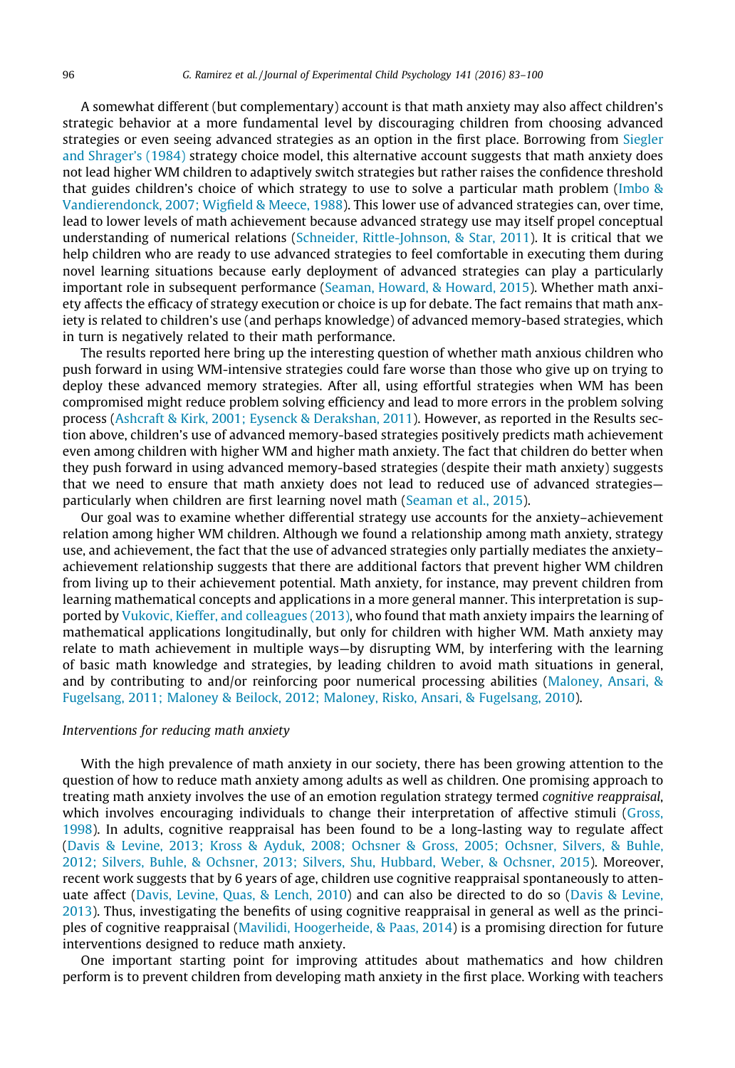A somewhat different (but complementary) account is that math anxiety may also affect children's strategic behavior at a more fundamental level by discouraging children from choosing advanced strategies or even seeing advanced strategies as an option in the first place. Borrowing from [Siegler](#page-17-0) [and Shrager's \(1984\)](#page-17-0) strategy choice model, this alternative account suggests that math anxiety does not lead higher WM children to adaptively switch strategies but rather raises the confidence threshold that guides children's choice of which strategy to use to solve a particular math problem ([Imbo &](#page-15-0) [Vandierendonck, 2007; Wigfield & Meece, 1988](#page-15-0)). This lower use of advanced strategies can, over time, lead to lower levels of math achievement because advanced strategy use may itself propel conceptual understanding of numerical relations ([Schneider, Rittle-Johnson, & Star, 2011\)](#page-16-0). It is critical that we help children who are ready to use advanced strategies to feel comfortable in executing them during novel learning situations because early deployment of advanced strategies can play a particularly important role in subsequent performance ([Seaman, Howard, & Howard, 2015](#page-16-0)). Whether math anxiety affects the efficacy of strategy execution or choice is up for debate. The fact remains that math anxiety is related to children's use (and perhaps knowledge) of advanced memory-based strategies, which in turn is negatively related to their math performance.

The results reported here bring up the interesting question of whether math anxious children who push forward in using WM-intensive strategies could fare worse than those who give up on trying to deploy these advanced memory strategies. After all, using effortful strategies when WM has been compromised might reduce problem solving efficiency and lead to more errors in the problem solving process [\(Ashcraft & Kirk, 2001; Eysenck & Derakshan, 2011\)](#page-14-0). However, as reported in the Results section above, children's use of advanced memory-based strategies positively predicts math achievement even among children with higher WM and higher math anxiety. The fact that children do better when they push forward in using advanced memory-based strategies (despite their math anxiety) suggests that we need to ensure that math anxiety does not lead to reduced use of advanced strategies particularly when children are first learning novel math ([Seaman et al., 2015](#page-16-0)).

Our goal was to examine whether differential strategy use accounts for the anxiety–achievement relation among higher WM children. Although we found a relationship among math anxiety, strategy use, and achievement, the fact that the use of advanced strategies only partially mediates the anxiety– achievement relationship suggests that there are additional factors that prevent higher WM children from living up to their achievement potential. Math anxiety, for instance, may prevent children from learning mathematical concepts and applications in a more general manner. This interpretation is supported by [Vukovic, Kieffer, and colleagues \(2013\),](#page-17-0) who found that math anxiety impairs the learning of mathematical applications longitudinally, but only for children with higher WM. Math anxiety may relate to math achievement in multiple ways—by disrupting WM, by interfering with the learning of basic math knowledge and strategies, by leading children to avoid math situations in general, and by contributing to and/or reinforcing poor numerical processing abilities ([Maloney, Ansari, &](#page-16-0) [Fugelsang, 2011; Maloney & Beilock, 2012; Maloney, Risko, Ansari, & Fugelsang, 2010](#page-16-0)).

## Interventions for reducing math anxiety

With the high prevalence of math anxiety in our society, there has been growing attention to the question of how to reduce math anxiety among adults as well as children. One promising approach to treating math anxiety involves the use of an emotion regulation strategy termed cognitive reappraisal, which involves encouraging individuals to change their interpretation of affective stimuli [\(Gross,](#page-15-0) [1998\)](#page-15-0). In adults, cognitive reappraisal has been found to be a long-lasting way to regulate affect ([Davis & Levine, 2013; Kross & Ayduk, 2008; Ochsner & Gross, 2005; Ochsner, Silvers, & Buhle,](#page-15-0) [2012; Silvers, Buhle, & Ochsner, 2013; Silvers, Shu, Hubbard, Weber, & Ochsner, 2015\)](#page-15-0). Moreover, recent work suggests that by 6 years of age, children use cognitive reappraisal spontaneously to attenuate affect ([Davis, Levine, Quas, & Lench, 2010\)](#page-15-0) and can also be directed to do so [\(Davis & Levine,](#page-15-0) [2013\)](#page-15-0). Thus, investigating the benefits of using cognitive reappraisal in general as well as the principles of cognitive reappraisal ([Mavilidi, Hoogerheide, & Paas, 2014](#page-16-0)) is a promising direction for future interventions designed to reduce math anxiety.

One important starting point for improving attitudes about mathematics and how children perform is to prevent children from developing math anxiety in the first place. Working with teachers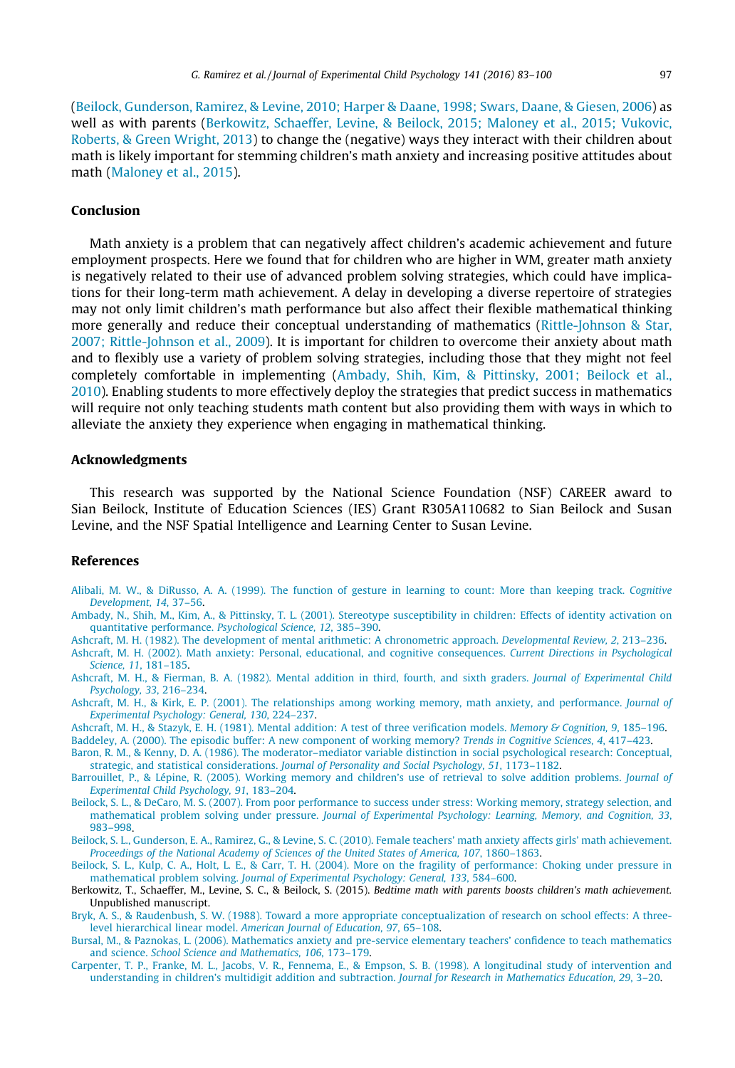<span id="page-14-0"></span>(Beilock, Gunderson, Ramirez, & Levine, 2010; Harper & Daane, 1998; Swars, Daane, & Giesen, 2006) as well as with parents (Berkowitz, Schaeffer, Levine, & Beilock, 2015; Maloney et al., 2015; Vukovic, Roberts, & Green Wright, 2013) to change the (negative) ways they interact with their children about math is likely important for stemming children's math anxiety and increasing positive attitudes about math ([Maloney et al., 2015](#page-16-0)).

## Conclusion

Math anxiety is a problem that can negatively affect children's academic achievement and future employment prospects. Here we found that for children who are higher in WM, greater math anxiety is negatively related to their use of advanced problem solving strategies, which could have implications for their long-term math achievement. A delay in developing a diverse repertoire of strategies may not only limit children's math performance but also affect their flexible mathematical thinking more generally and reduce their conceptual understanding of mathematics ([Rittle-Johnson & Star,](#page-16-0) [2007; Rittle-Johnson et al., 2009\)](#page-16-0). It is important for children to overcome their anxiety about math and to flexibly use a variety of problem solving strategies, including those that they might not feel completely comfortable in implementing (Ambady, Shih, Kim, & Pittinsky, 2001; Beilock et al., 2010). Enabling students to more effectively deploy the strategies that predict success in mathematics will require not only teaching students math content but also providing them with ways in which to alleviate the anxiety they experience when engaging in mathematical thinking.

## Acknowledgments

This research was supported by the National Science Foundation (NSF) CAREER award to Sian Beilock, Institute of Education Sciences (IES) Grant R305A110682 to Sian Beilock and Susan Levine, and the NSF Spatial Intelligence and Learning Center to Susan Levine.

## References

- [Alibali, M. W., & DiRusso, A. A. \(1999\). The function of gesture in learning to count: More than keeping track.](http://refhub.elsevier.com/S0022-0965(15)00181-2/h0005) Cognitive [Development, 14](http://refhub.elsevier.com/S0022-0965(15)00181-2/h0005), 37–56.
- [Ambady, N., Shih, M., Kim, A., & Pittinsky, T. L. \(2001\). Stereotype susceptibility in children: Effects of identity activation on](http://refhub.elsevier.com/S0022-0965(15)00181-2/h0010) [quantitative performance.](http://refhub.elsevier.com/S0022-0965(15)00181-2/h0010) Psychological Science, 12, 385–390.
- [Ashcraft, M. H. \(1982\). The development of mental arithmetic: A chronometric approach.](http://refhub.elsevier.com/S0022-0965(15)00181-2/h0015) Developmental Review, 2, 213–236.
- [Ashcraft, M. H. \(2002\). Math anxiety: Personal, educational, and cognitive consequences.](http://refhub.elsevier.com/S0022-0965(15)00181-2/h0020) Current Directions in Psychological [Science, 11](http://refhub.elsevier.com/S0022-0965(15)00181-2/h0020), 181–185.
- [Ashcraft, M. H., & Fierman, B. A. \(1982\). Mental addition in third, fourth, and sixth graders.](http://refhub.elsevier.com/S0022-0965(15)00181-2/h0025) Journal of Experimental Child [Psychology, 33](http://refhub.elsevier.com/S0022-0965(15)00181-2/h0025), 216–234.
- [Ashcraft, M. H., & Kirk, E. P. \(2001\). The relationships among working memory, math anxiety, and performance.](http://refhub.elsevier.com/S0022-0965(15)00181-2/h0030) Journal of [Experimental Psychology: General, 130](http://refhub.elsevier.com/S0022-0965(15)00181-2/h0030), 224–237.
- [Ashcraft, M. H., & Stazyk, E. H. \(1981\). Mental addition: A test of three verification models.](http://refhub.elsevier.com/S0022-0965(15)00181-2/h0035) Memory & Cognition, 9, 185–196.
- [Baddeley, A. \(2000\). The episodic buffer: A new component of working memory?](http://refhub.elsevier.com/S0022-0965(15)00181-2/h0040) Trends in Cognitive Sciences, 4, 417–423.
- [Baron, R. M., & Kenny, D. A. \(1986\). The moderator–mediator variable distinction in social psychological research: Conceptual,](http://refhub.elsevier.com/S0022-0965(15)00181-2/h0045) strategic, and statistical considerations. [Journal of Personality and Social Psychology, 51](http://refhub.elsevier.com/S0022-0965(15)00181-2/h0045), 1173–1182.
- [Barrouillet, P., & Lépine, R. \(2005\). Working memory and children's use of retrieval to solve addition problems.](http://refhub.elsevier.com/S0022-0965(15)00181-2/h0050) Journal of [Experimental Child Psychology, 91](http://refhub.elsevier.com/S0022-0965(15)00181-2/h0050), 183–204.
- [Beilock, S. L., & DeCaro, M. S. \(2007\). From poor performance to success under stress: Working memory, strategy selection, and](http://refhub.elsevier.com/S0022-0965(15)00181-2/h0055) mathematical problem solving under pressure. [Journal of Experimental Psychology: Learning, Memory, and Cognition, 33](http://refhub.elsevier.com/S0022-0965(15)00181-2/h0055), [983–998](http://refhub.elsevier.com/S0022-0965(15)00181-2/h0055).
- [Beilock, S. L., Gunderson, E. A., Ramirez, G., & Levine, S. C. \(2010\). Female teachers' math anxiety affects girls' math achievement.](http://refhub.elsevier.com/S0022-0965(15)00181-2/h0060) [Proceedings of the National Academy of Sciences of the United States of America, 107](http://refhub.elsevier.com/S0022-0965(15)00181-2/h0060), 1860–1863.
- [Beilock, S. L., Kulp, C. A., Holt, L. E., & Carr, T. H. \(2004\). More on the fragility of performance: Choking under pressure in](http://refhub.elsevier.com/S0022-0965(15)00181-2/h0065) mathematical problem solving. [Journal of Experimental Psychology: General, 133](http://refhub.elsevier.com/S0022-0965(15)00181-2/h0065), 584–600.
- Berkowitz, T., Schaeffer, M., Levine, S. C., & Beilock, S. (2015). Bedtime math with parents boosts children's math achievement. Unpublished manuscript.
- [Bryk, A. S., & Raudenbush, S. W. \(1988\). Toward a more appropriate conceptualization of research on school effects: A three](http://refhub.elsevier.com/S0022-0965(15)00181-2/h0075)level hierarchical linear model. [American Journal of Education, 97](http://refhub.elsevier.com/S0022-0965(15)00181-2/h0075), 65–108.
- [Bursal, M., & Paznokas, L. \(2006\). Mathematics anxiety and pre-service elementary teachers' confidence to teach mathematics](http://refhub.elsevier.com/S0022-0965(15)00181-2/h0080) and science. [School Science and Mathematics, 106](http://refhub.elsevier.com/S0022-0965(15)00181-2/h0080), 173–179.
- [Carpenter, T. P., Franke, M. L., Jacobs, V. R., Fennema, E., & Empson, S. B. \(1998\). A longitudinal study of intervention and](http://refhub.elsevier.com/S0022-0965(15)00181-2/h0085) [understanding in children's multidigit addition and subtraction.](http://refhub.elsevier.com/S0022-0965(15)00181-2/h0085) Journal for Research in Mathematics Education, 29, 3–20.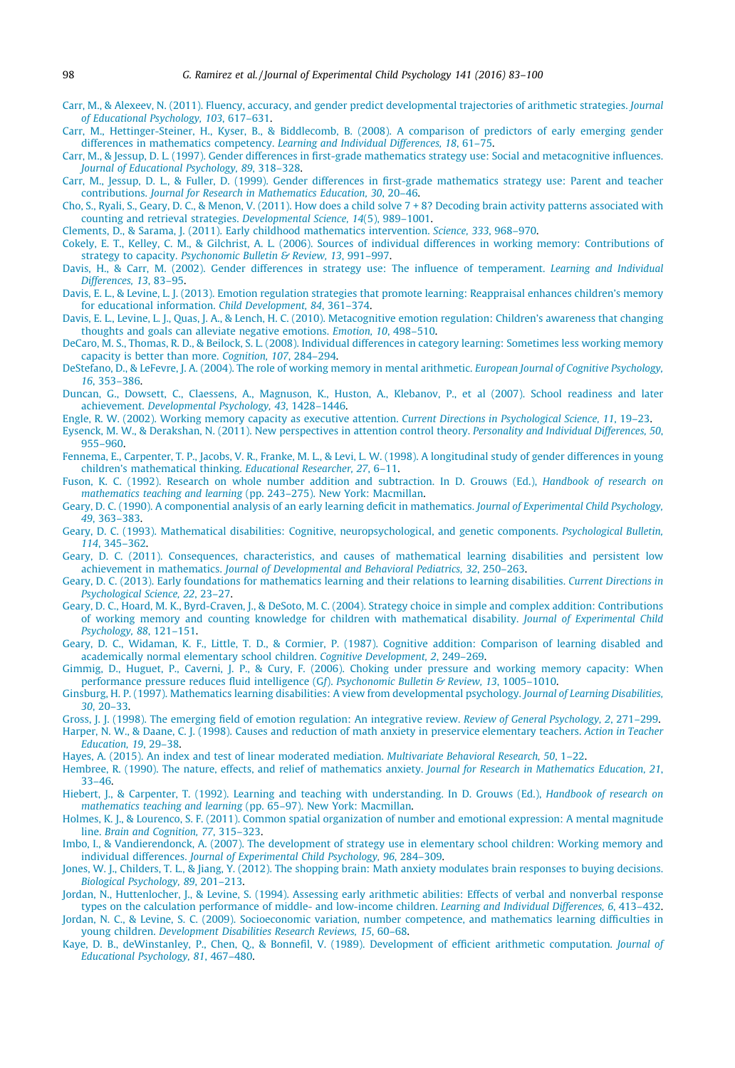- <span id="page-15-0"></span>[Carr, M., & Alexeev, N. \(2011\). Fluency, accuracy, and gender predict developmental trajectories of arithmetic strategies.](http://refhub.elsevier.com/S0022-0965(15)00181-2/h0090) Journal [of Educational Psychology, 103](http://refhub.elsevier.com/S0022-0965(15)00181-2/h0090), 617–631.
- [Carr, M., Hettinger-Steiner, H., Kyser, B., & Biddlecomb, B. \(2008\). A comparison of predictors of early emerging gender](http://refhub.elsevier.com/S0022-0965(15)00181-2/h0095) [differences in mathematics competency.](http://refhub.elsevier.com/S0022-0965(15)00181-2/h0095) Learning and Individual Differences, 18, 61–75.
- [Carr, M., & Jessup, D. L. \(1997\). Gender differences in first-grade mathematics strategy use: Social and metacognitive influences.](http://refhub.elsevier.com/S0022-0965(15)00181-2/h0100) [Journal of Educational Psychology, 89](http://refhub.elsevier.com/S0022-0965(15)00181-2/h0100), 318–328.
- [Carr, M., Jessup, D. L., & Fuller, D. \(1999\). Gender differences in first-grade mathematics strategy use: Parent and teacher](http://refhub.elsevier.com/S0022-0965(15)00181-2/h0105) contributions. [Journal for Research in Mathematics Education, 30](http://refhub.elsevier.com/S0022-0965(15)00181-2/h0105), 20–46.
- [Cho, S., Ryali, S., Geary, D. C., & Menon, V. \(2011\). How does a child solve 7 + 8? Decoding brain activity patterns associated with](http://refhub.elsevier.com/S0022-0965(15)00181-2/h9000) [counting and retrieval strategies.](http://refhub.elsevier.com/S0022-0965(15)00181-2/h9000) Developmental Science, 14(5), 989–1001.
- [Clements, D., & Sarama, J. \(2011\). Early childhood mathematics intervention.](http://refhub.elsevier.com/S0022-0965(15)00181-2/h0110) Science, 333, 968–970.
- [Cokely, E. T., Kelley, C. M., & Gilchrist, A. L. \(2006\). Sources of individual differences in working memory: Contributions of](http://refhub.elsevier.com/S0022-0965(15)00181-2/h0115) strategy to capacity. [Psychonomic Bulletin & Review, 13](http://refhub.elsevier.com/S0022-0965(15)00181-2/h0115), 991–997.
- [Davis, H., & Carr, M. \(2002\). Gender differences in strategy use: The influence of temperament.](http://refhub.elsevier.com/S0022-0965(15)00181-2/h0120) Learning and Individual [Differences, 13](http://refhub.elsevier.com/S0022-0965(15)00181-2/h0120), 83–95.
- [Davis, E. L., & Levine, L. J. \(2013\). Emotion regulation strategies that promote learning: Reappraisal enhances children's memory](http://refhub.elsevier.com/S0022-0965(15)00181-2/h0125) [for educational information.](http://refhub.elsevier.com/S0022-0965(15)00181-2/h0125) Child Development, 84, 361–374.
- [Davis, E. L., Levine, L. J., Quas, J. A., & Lench, H. C. \(2010\). Metacognitive emotion regulation: Children's awareness that changing](http://refhub.elsevier.com/S0022-0965(15)00181-2/h0130) [thoughts and goals can alleviate negative emotions.](http://refhub.elsevier.com/S0022-0965(15)00181-2/h0130) Emotion, 10, 498–510.
- [DeCaro, M. S., Thomas, R. D., & Beilock, S. L. \(2008\). Individual differences in category learning: Sometimes less working memory](http://refhub.elsevier.com/S0022-0965(15)00181-2/h0135) [capacity is better than more.](http://refhub.elsevier.com/S0022-0965(15)00181-2/h0135) Cognition, 107, 284–294.
- [DeStefano, D., & LeFevre, J. A. \(2004\). The role of working memory in mental arithmetic.](http://refhub.elsevier.com/S0022-0965(15)00181-2/h0140) European Journal of Cognitive Psychology, 16[, 353–386](http://refhub.elsevier.com/S0022-0965(15)00181-2/h0140).
- [Duncan, G., Dowsett, C., Claessens, A., Magnuson, K., Huston, A., Klebanov, P., et al \(2007\). School readiness and later](http://refhub.elsevier.com/S0022-0965(15)00181-2/h0145) achievement. [Developmental Psychology, 43](http://refhub.elsevier.com/S0022-0965(15)00181-2/h0145), 1428–1446.
- [Engle, R. W. \(2002\). Working memory capacity as executive attention.](http://refhub.elsevier.com/S0022-0965(15)00181-2/h0150) Current Directions in Psychological Science, 11, 19–23.
- [Eysenck, M. W., & Derakshan, N. \(2011\). New perspectives in attention control theory.](http://refhub.elsevier.com/S0022-0965(15)00181-2/h0155) Personality and Individual Differences, 50, [955–960](http://refhub.elsevier.com/S0022-0965(15)00181-2/h0155).
- [Fennema, E., Carpenter, T. P., Jacobs, V. R., Franke, M. L., & Levi, L. W. \(1998\). A longitudinal study of gender differences in young](http://refhub.elsevier.com/S0022-0965(15)00181-2/h0160) [children's mathematical thinking.](http://refhub.elsevier.com/S0022-0965(15)00181-2/h0160) Educational Researcher, 27, 6–11.
- [Fuson, K. C. \(1992\). Research on whole number addition and subtraction. In D. Grouws \(Ed.\),](http://refhub.elsevier.com/S0022-0965(15)00181-2/h0165) Handbook of research on mathematics teaching and learning [\(pp. 243–275\). New York: Macmillan.](http://refhub.elsevier.com/S0022-0965(15)00181-2/h0165)
- [Geary, D. C. \(1990\). A componential analysis of an early learning deficit in mathematics.](http://refhub.elsevier.com/S0022-0965(15)00181-2/h0170) Journal of Experimental Child Psychology, 49[, 363–383](http://refhub.elsevier.com/S0022-0965(15)00181-2/h0170).
- [Geary, D. C. \(1993\). Mathematical disabilities: Cognitive, neuropsychological, and genetic components.](http://refhub.elsevier.com/S0022-0965(15)00181-2/h0175) Psychological Bulletin, 114[, 345–362.](http://refhub.elsevier.com/S0022-0965(15)00181-2/h0175)
- [Geary, D. C. \(2011\). Consequences, characteristics, and causes of mathematical learning disabilities and persistent low](http://refhub.elsevier.com/S0022-0965(15)00181-2/h0180) achievement in mathematics. [Journal of Developmental and Behavioral Pediatrics, 32](http://refhub.elsevier.com/S0022-0965(15)00181-2/h0180), 250–263.
- [Geary, D. C. \(2013\). Early foundations for mathematics learning and their relations to learning disabilities.](http://refhub.elsevier.com/S0022-0965(15)00181-2/h0185) Current Directions in [Psychological Science, 22](http://refhub.elsevier.com/S0022-0965(15)00181-2/h0185), 23–27.
- [Geary, D. C., Hoard, M. K., Byrd-Craven, J., & DeSoto, M. C. \(2004\). Strategy choice in simple and complex addition: Contributions](http://refhub.elsevier.com/S0022-0965(15)00181-2/h0190) [of working memory and counting knowledge for children with mathematical disability.](http://refhub.elsevier.com/S0022-0965(15)00181-2/h0190) Journal of Experimental Child [Psychology, 88](http://refhub.elsevier.com/S0022-0965(15)00181-2/h0190), 121–151.
- [Geary, D. C., Widaman, K. F., Little, T. D., & Cormier, P. \(1987\). Cognitive addition: Comparison of learning disabled and](http://refhub.elsevier.com/S0022-0965(15)00181-2/h0195) [academically normal elementary school children.](http://refhub.elsevier.com/S0022-0965(15)00181-2/h0195) Cognitive Development, 2, 249–269.
- [Gimmig, D., Huguet, P., Caverni, J. P., & Cury, F. \(2006\). Choking under pressure and working memory capacity: When](http://refhub.elsevier.com/S0022-0965(15)00181-2/h0200) [performance pressure reduces fluid intelligence \(G](http://refhub.elsevier.com/S0022-0965(15)00181-2/h0200)f). Psychonomic Bulletin & Review, 13, 1005–1010.
- [Ginsburg, H. P. \(1997\). Mathematics learning disabilities: A view from developmental psychology.](http://refhub.elsevier.com/S0022-0965(15)00181-2/h0205) Journal of Learning Disabilities, 30[, 20–33.](http://refhub.elsevier.com/S0022-0965(15)00181-2/h0205)
- [Gross, J. J. \(1998\). The emerging field of emotion regulation: An integrative review.](http://refhub.elsevier.com/S0022-0965(15)00181-2/h0210) Review of General Psychology, 2, 271–299.
- [Harper, N. W., & Daane, C. J. \(1998\). Causes and reduction of math anxiety in preservice elementary teachers.](http://refhub.elsevier.com/S0022-0965(15)00181-2/h0215) Action in Teacher [Education, 19](http://refhub.elsevier.com/S0022-0965(15)00181-2/h0215), 29–38.
- [Hayes, A. \(2015\). An index and test of linear moderated mediation.](http://refhub.elsevier.com/S0022-0965(15)00181-2/h9005) Multivariate Behavioral Research, 50, 1–22.
- [Hembree, R. \(1990\). The nature, effects, and relief of mathematics anxiety.](http://refhub.elsevier.com/S0022-0965(15)00181-2/h0220) Journal for Research in Mathematics Education, 21, [33–46.](http://refhub.elsevier.com/S0022-0965(15)00181-2/h0220)
- [Hiebert, J., & Carpenter, T. \(1992\). Learning and teaching with understanding. In D. Grouws \(Ed.\),](http://refhub.elsevier.com/S0022-0965(15)00181-2/h0225) Handbook of research on mathematics teaching and learning [\(pp. 65–97\). New York: Macmillan.](http://refhub.elsevier.com/S0022-0965(15)00181-2/h0225)
- [Holmes, K. J., & Lourenco, S. F. \(2011\). Common spatial organization of number and emotional expression: A mental magnitude](http://refhub.elsevier.com/S0022-0965(15)00181-2/h0230) line. [Brain and Cognition, 77](http://refhub.elsevier.com/S0022-0965(15)00181-2/h0230), 315–323.
- [Imbo, I., & Vandierendonck, A. \(2007\). The development of strategy use in elementary school children: Working memory and](http://refhub.elsevier.com/S0022-0965(15)00181-2/h0235) individual differences. [Journal of Experimental Child Psychology, 96](http://refhub.elsevier.com/S0022-0965(15)00181-2/h0235), 284–309.
- Jones, W. J., Childers, T. L., & Jiang, Y. (2012). The shopping brain: Math anxiety modulates brain responses to buving decisions. [Biological Psychology, 89](http://refhub.elsevier.com/S0022-0965(15)00181-2/h0240), 201–213.
- [Jordan, N., Huttenlocher, J., & Levine, S. \(1994\). Assessing early arithmetic abilities: Effects of verbal and nonverbal response](http://refhub.elsevier.com/S0022-0965(15)00181-2/h0245) [types on the calculation performance of middle- and low-income children.](http://refhub.elsevier.com/S0022-0965(15)00181-2/h0245) Learning and Individual Differences, 6, 413–432.
- [Jordan, N. C., & Levine, S. C. \(2009\). Socioeconomic variation, number competence, and mathematics learning difficulties in](http://refhub.elsevier.com/S0022-0965(15)00181-2/h0250) young children. [Development Disabilities Research Reviews, 15](http://refhub.elsevier.com/S0022-0965(15)00181-2/h0250), 60–68.
- [Kaye, D. B., deWinstanley, P., Chen, Q., & Bonnefil, V. \(1989\). Development of efficient arithmetic computation.](http://refhub.elsevier.com/S0022-0965(15)00181-2/h0255) Journal of [Educational Psychology, 81](http://refhub.elsevier.com/S0022-0965(15)00181-2/h0255), 467–480.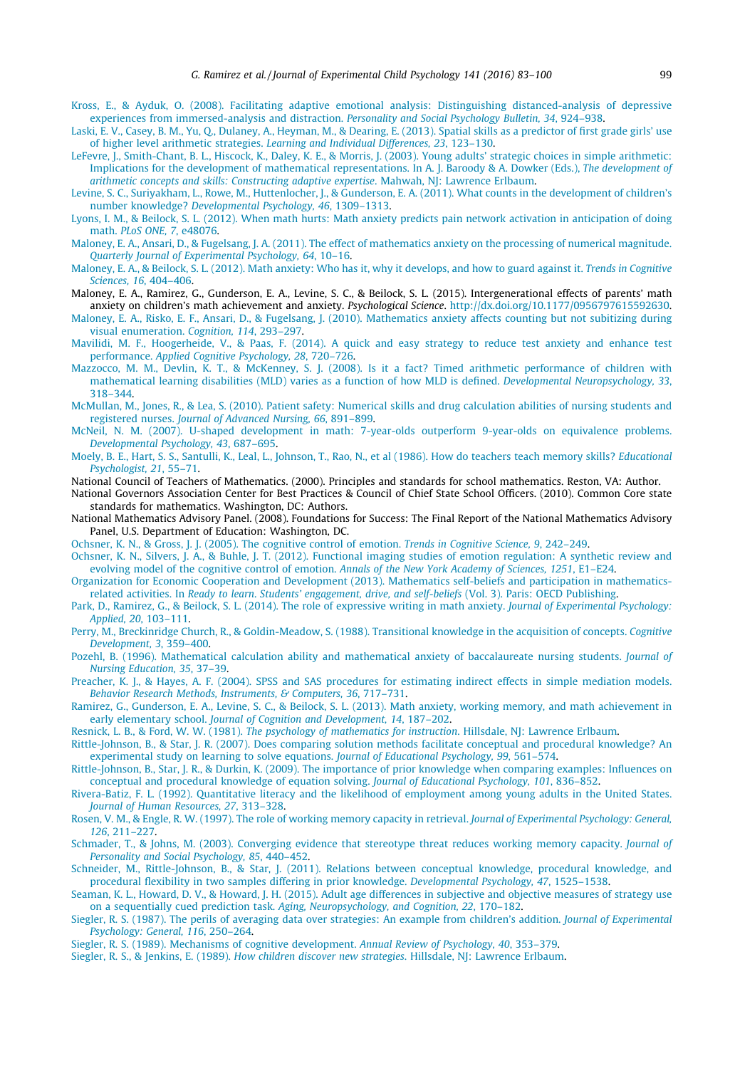- <span id="page-16-0"></span>[Kross, E., & Ayduk, O. \(2008\). Facilitating adaptive emotional analysis: Distinguishing distanced-analysis of depressive](http://refhub.elsevier.com/S0022-0965(15)00181-2/h0260) [experiences from immersed-analysis and distraction.](http://refhub.elsevier.com/S0022-0965(15)00181-2/h0260) Personality and Social Psychology Bulletin, 34, 924–938.
- [Laski, E. V., Casey, B. M., Yu, Q., Dulaney, A., Heyman, M., & Dearing, E. \(2013\). Spatial skills as a predictor of first grade girls' use](http://refhub.elsevier.com/S0022-0965(15)00181-2/h0265) of higher level arithmetic strategies. [Learning and Individual Differences, 23](http://refhub.elsevier.com/S0022-0965(15)00181-2/h0265), 123–130.
- [LeFevre, J., Smith-Chant, B. L., Hiscock, K., Daley, K. E., & Morris, J. \(2003\). Young adults' strategic choices in simple arithmetic:](http://refhub.elsevier.com/S0022-0965(15)00181-2/h0270) [Implications for the development of mathematical representations. In A. J. Baroody & A. Dowker \(Eds.\),](http://refhub.elsevier.com/S0022-0965(15)00181-2/h0270) The development of [arithmetic concepts and skills: Constructing adaptive expertise](http://refhub.elsevier.com/S0022-0965(15)00181-2/h0270). Mahwah, NJ: Lawrence Erlbaum.
- [Levine, S. C., Suriyakham, L., Rowe, M., Huttenlocher, J., & Gunderson, E. A. \(2011\). What counts in the development of children's](http://refhub.elsevier.com/S0022-0965(15)00181-2/h0275) number knowledge? [Developmental Psychology, 46](http://refhub.elsevier.com/S0022-0965(15)00181-2/h0275), 1309–1313.
- [Lyons, I. M., & Beilock, S. L. \(2012\). When math hurts: Math anxiety predicts pain network activation in anticipation of doing](http://refhub.elsevier.com/S0022-0965(15)00181-2/h0280) math. [PLoS ONE, 7](http://refhub.elsevier.com/S0022-0965(15)00181-2/h0280), e48076.
- [Maloney, E. A., Ansari, D., & Fugelsang, J. A. \(2011\). The effect of mathematics anxiety on the processing of numerical magnitude.](http://refhub.elsevier.com/S0022-0965(15)00181-2/h0285) [Quarterly Journal of Experimental Psychology, 64](http://refhub.elsevier.com/S0022-0965(15)00181-2/h0285), 10–16.
- [Maloney, E. A., & Beilock, S. L. \(2012\). Math anxiety: Who has it, why it develops, and how to guard against it.](http://refhub.elsevier.com/S0022-0965(15)00181-2/h0290) Trends in Cognitive [Sciences, 16](http://refhub.elsevier.com/S0022-0965(15)00181-2/h0290), 404–406.
- Maloney, E. A., Ramirez, G., Gunderson, E. A., Levine, S. C., & Beilock, S. L. (2015). Intergenerational effects of parents' math anxiety on children's math achievement and anxiety. Psychological Science. <http://dx.doi.org/10.1177/0956797615592630>.
- [Maloney, E. A., Risko, E. F., Ansari, D., & Fugelsang, J. \(2010\). Mathematics anxiety affects counting but not subitizing during](http://refhub.elsevier.com/S0022-0965(15)00181-2/h0300) [visual enumeration.](http://refhub.elsevier.com/S0022-0965(15)00181-2/h0300) Cognition, 114, 293–297.
- [Mavilidi, M. F., Hoogerheide, V., & Paas, F. \(2014\). A quick and easy strategy to reduce test anxiety and enhance test](http://refhub.elsevier.com/S0022-0965(15)00181-2/h0305) performance. [Applied Cognitive Psychology, 28](http://refhub.elsevier.com/S0022-0965(15)00181-2/h0305), 720–726.
- [Mazzocco, M. M., Devlin, K. T., & McKenney, S. J. \(2008\). Is it a fact? Timed arithmetic performance of children with](http://refhub.elsevier.com/S0022-0965(15)00181-2/h0310) [mathematical learning disabilities \(MLD\) varies as a function of how MLD is defined.](http://refhub.elsevier.com/S0022-0965(15)00181-2/h0310) Developmental Neuropsychology, 33, [318–344](http://refhub.elsevier.com/S0022-0965(15)00181-2/h0310).
- [McMullan, M., Jones, R., & Lea, S. \(2010\). Patient safety: Numerical skills and drug calculation abilities of nursing students and](http://refhub.elsevier.com/S0022-0965(15)00181-2/h0315) registered nurses. [Journal of Advanced Nursing, 66](http://refhub.elsevier.com/S0022-0965(15)00181-2/h0315), 891–899.
- [McNeil, N. M. \(2007\). U-shaped development in math: 7-year-olds outperform 9-year-olds on equivalence problems.](http://refhub.elsevier.com/S0022-0965(15)00181-2/h0320) [Developmental Psychology, 43](http://refhub.elsevier.com/S0022-0965(15)00181-2/h0320), 687–695.
- [Moely, B. E., Hart, S. S., Santulli, K., Leal, L., Johnson, T., Rao, N., et al \(1986\). How do teachers teach memory skills?](http://refhub.elsevier.com/S0022-0965(15)00181-2/h0325) Educational [Psychologist, 21](http://refhub.elsevier.com/S0022-0965(15)00181-2/h0325), 55–71.
- National Council of Teachers of Mathematics. (2000). Principles and standards for school mathematics. Reston, VA: Author.
- National Governors Association Center for Best Practices & Council of Chief State School Officers. (2010). Common Core state standards for mathematics. Washington, DC: Authors.
- National Mathematics Advisory Panel. (2008). Foundations for Success: The Final Report of the National Mathematics Advisory Panel, U.S. Department of Education: Washington, DC.
- [Ochsner, K. N., & Gross, J. J. \(2005\). The cognitive control of emotion.](http://refhub.elsevier.com/S0022-0965(15)00181-2/h0340) Trends in Cognitive Science, 9, 242–249.
- [Ochsner, K. N., Silvers, J. A., & Buhle, J. T. \(2012\). Functional imaging studies of emotion regulation: A synthetic review and](http://refhub.elsevier.com/S0022-0965(15)00181-2/h0345) [evolving model of the cognitive control of emotion.](http://refhub.elsevier.com/S0022-0965(15)00181-2/h0345) Annals of the New York Academy of Sciences, 1251, E1–E24.
- [Organization for Economic Cooperation and Development \(2013\). Mathematics self-beliefs and participation in mathematics](http://refhub.elsevier.com/S0022-0965(15)00181-2/h0350)related activities. In Ready to learn. [Students' engagement, drive, and self-beliefs](http://refhub.elsevier.com/S0022-0965(15)00181-2/h0350) (Vol. 3). Paris: OECD Publishing.
- [Park, D., Ramirez, G., & Beilock, S. L. \(2014\). The role of expressive writing in math anxiety.](http://refhub.elsevier.com/S0022-0965(15)00181-2/h0355) Journal of Experimental Psychology: [Applied, 20](http://refhub.elsevier.com/S0022-0965(15)00181-2/h0355), 103–111.
- [Perry, M., Breckinridge Church, R., & Goldin-Meadow, S. \(1988\). Transitional knowledge in the acquisition of concepts.](http://refhub.elsevier.com/S0022-0965(15)00181-2/h0360) Cognitive [Development, 3](http://refhub.elsevier.com/S0022-0965(15)00181-2/h0360), 359–400.
- [Pozehl, B. \(1996\). Mathematical calculation ability and mathematical anxiety of baccalaureate nursing students.](http://refhub.elsevier.com/S0022-0965(15)00181-2/h0365) Journal of [Nursing Education, 35](http://refhub.elsevier.com/S0022-0965(15)00181-2/h0365), 37–39.
- [Preacher, K. J., & Hayes, A. F. \(2004\). SPSS and SAS procedures for estimating indirect effects in simple mediation models.](http://refhub.elsevier.com/S0022-0965(15)00181-2/h0370) [Behavior Research Methods, Instruments, & Computers, 36](http://refhub.elsevier.com/S0022-0965(15)00181-2/h0370), 717–731.
- [Ramirez, G., Gunderson, E. A., Levine, S. C., & Beilock, S. L. \(2013\). Math anxiety, working memory, and math achievement in](http://refhub.elsevier.com/S0022-0965(15)00181-2/h0375) early elementary school. [Journal of Cognition and Development, 14](http://refhub.elsevier.com/S0022-0965(15)00181-2/h0375), 187–202.
- Resnick, L. B., & Ford, W. W. (1981). [The psychology of mathematics for instruction](http://refhub.elsevier.com/S0022-0965(15)00181-2/h0380). Hillsdale, NJ: Lawrence Erlbaum.
- [Rittle-Johnson, B., & Star, J. R. \(2007\). Does comparing solution methods facilitate conceptual and procedural knowledge? An](http://refhub.elsevier.com/S0022-0965(15)00181-2/h0385) [experimental study on learning to solve equations.](http://refhub.elsevier.com/S0022-0965(15)00181-2/h0385) Journal of Educational Psychology, 99, 561–574.
- [Rittle-Johnson, B., Star, J. R., & Durkin, K. \(2009\). The importance of prior knowledge when comparing examples: Influences on](http://refhub.elsevier.com/S0022-0965(15)00181-2/h0390) [conceptual and procedural knowledge of equation solving.](http://refhub.elsevier.com/S0022-0965(15)00181-2/h0390) Journal of Educational Psychology, 101, 836–852.
- [Rivera-Batiz, F. L. \(1992\). Quantitative literacy and the likelihood of employment among young adults in the United States.](http://refhub.elsevier.com/S0022-0965(15)00181-2/h0395) [Journal of Human Resources, 27](http://refhub.elsevier.com/S0022-0965(15)00181-2/h0395), 313–328.
- [Rosen, V. M., & Engle, R. W. \(1997\). The role of working memory capacity in retrieval.](http://refhub.elsevier.com/S0022-0965(15)00181-2/h0400) Journal of Experimental Psychology: General, 126[, 211–227](http://refhub.elsevier.com/S0022-0965(15)00181-2/h0400).
- [Schmader, T., & Johns, M. \(2003\). Converging evidence that stereotype threat reduces working memory capacity.](http://refhub.elsevier.com/S0022-0965(15)00181-2/h0405) Journal of [Personality and Social Psychology, 85](http://refhub.elsevier.com/S0022-0965(15)00181-2/h0405), 440–452.
- [Schneider, M., Rittle-Johnson, B., & Star, J. \(2011\). Relations between conceptual knowledge, procedural knowledge, and](http://refhub.elsevier.com/S0022-0965(15)00181-2/h0410) [procedural flexibility in two samples differing in prior knowledge.](http://refhub.elsevier.com/S0022-0965(15)00181-2/h0410) Developmental Psychology, 47, 1525–1538.
- [Seaman, K. L., Howard, D. V., & Howard, J. H. \(2015\). Adult age differences in subjective and objective measures of strategy use](http://refhub.elsevier.com/S0022-0965(15)00181-2/h0415) on a sequentially cued prediction task. [Aging, Neuropsychology, and Cognition, 22](http://refhub.elsevier.com/S0022-0965(15)00181-2/h0415), 170–182.
- [Siegler, R. S. \(1987\). The perils of averaging data over strategies: An example from children's addition.](http://refhub.elsevier.com/S0022-0965(15)00181-2/h0420) Journal of Experimental [Psychology: General, 116](http://refhub.elsevier.com/S0022-0965(15)00181-2/h0420), 250–264.
- [Siegler, R. S. \(1989\). Mechanisms of cognitive development.](http://refhub.elsevier.com/S0022-0965(15)00181-2/h0425) Annual Review of Psychology, 40, 353–379.

Siegler, R. S., & Jenkins, E. (1989). [How children discover new strategies](http://refhub.elsevier.com/S0022-0965(15)00181-2/h0430). Hillsdale, NJ: Lawrence Erlbaum.